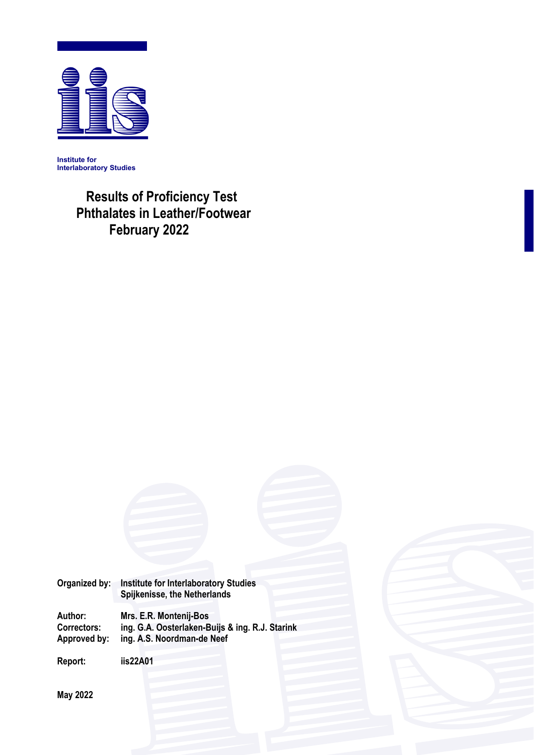

**Institute for Interlaboratory Studies** 

# **Results of Proficiency Test Phthalates in Leather/Footwear February 2022**

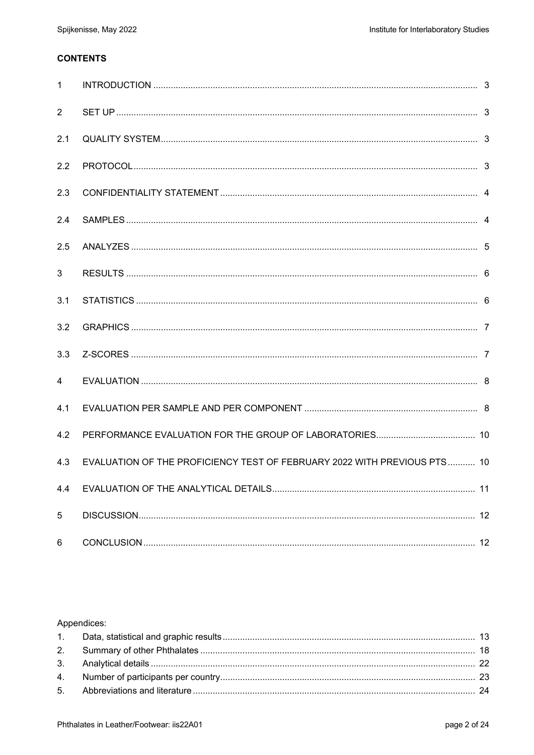# **CONTENTS**

| $\mathbf{1}$   |                                                                          |  |
|----------------|--------------------------------------------------------------------------|--|
| $\overline{2}$ |                                                                          |  |
| 2.1            |                                                                          |  |
| 2.2            |                                                                          |  |
| 2.3            |                                                                          |  |
| 2.4            |                                                                          |  |
| 2.5            |                                                                          |  |
| 3              |                                                                          |  |
| 3.1            |                                                                          |  |
| 3.2            |                                                                          |  |
| 3.3            |                                                                          |  |
| $\overline{4}$ |                                                                          |  |
| 4.1            |                                                                          |  |
| 4.2            |                                                                          |  |
| 4.3            | EVALUATION OF THE PROFICIENCY TEST OF FEBRUARY 2022 WITH PREVIOUS PTS 10 |  |
| 4.4            |                                                                          |  |
| 5              |                                                                          |  |
| 6              |                                                                          |  |

# Appendices: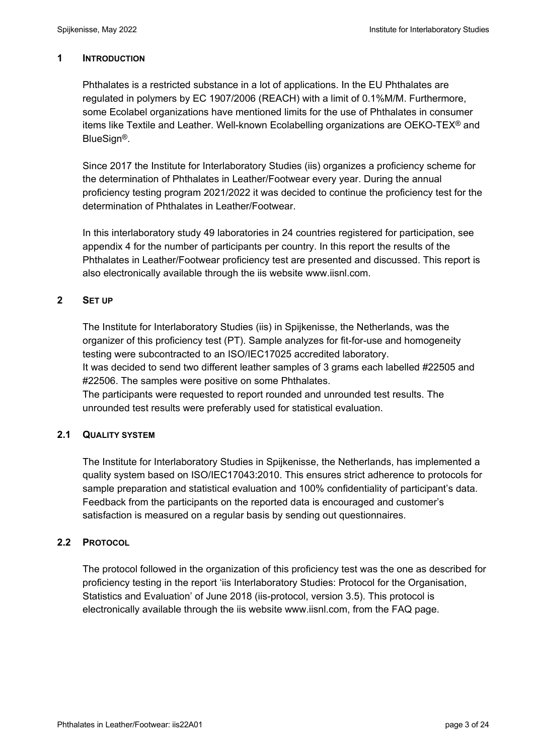#### **1 INTRODUCTION**

Phthalates is a restricted substance in a lot of applications. In the EU Phthalates are regulated in polymers by EC 1907/2006 (REACH) with a limit of 0.1%M/M. Furthermore, some Ecolabel organizations have mentioned limits for the use of Phthalates in consumer items like Textile and Leather. Well-known Ecolabelling organizations are OEKO-TEX® and BlueSign®.

Since 2017 the Institute for Interlaboratory Studies (iis) organizes a proficiency scheme for the determination of Phthalates in Leather/Footwear every year. During the annual proficiency testing program 2021/2022 it was decided to continue the proficiency test for the determination of Phthalates in Leather/Footwear.

In this interlaboratory study 49 laboratories in 24 countries registered for participation, see appendix 4 for the number of participants per country. In this report the results of the Phthalates in Leather/Footwear proficiency test are presented and discussed. This report is also electronically available through the iis website www.iisnl.com.

# **2 SET UP**

The Institute for Interlaboratory Studies (iis) in Spijkenisse, the Netherlands, was the organizer of this proficiency test (PT). Sample analyzes for fit-for-use and homogeneity testing were subcontracted to an ISO/IEC17025 accredited laboratory. It was decided to send two different leather samples of 3 grams each labelled #22505 and

#22506. The samples were positive on some Phthalates. The participants were requested to report rounded and unrounded test results. The unrounded test results were preferably used for statistical evaluation.

# **2.1 QUALITY SYSTEM**

The Institute for Interlaboratory Studies in Spijkenisse, the Netherlands, has implemented a quality system based on ISO/IEC17043:2010. This ensures strict adherence to protocols for sample preparation and statistical evaluation and 100% confidentiality of participant's data. Feedback from the participants on the reported data is encouraged and customer's satisfaction is measured on a regular basis by sending out questionnaires.

# **2.2 PROTOCOL**

The protocol followed in the organization of this proficiency test was the one as described for proficiency testing in the report 'iis Interlaboratory Studies: Protocol for the Organisation, Statistics and Evaluation' of June 2018 (iis-protocol, version 3.5). This protocol is electronically available through the iis website www.iisnl.com, from the FAQ page.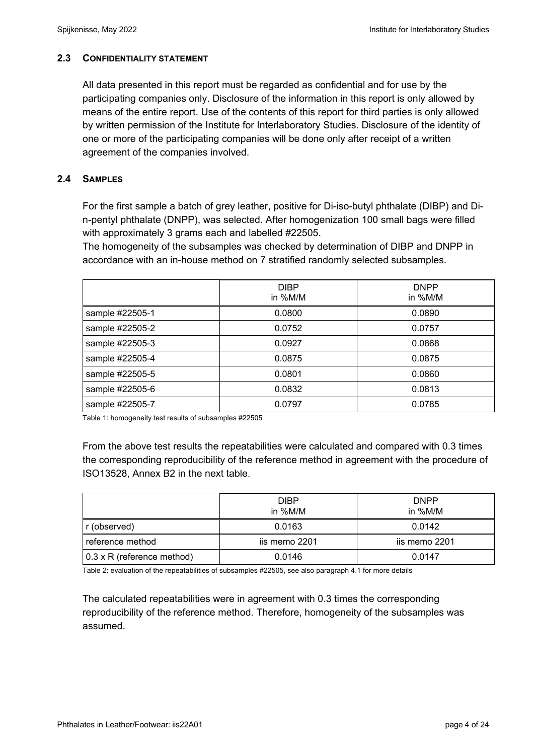# **2.3 CONFIDENTIALITY STATEMENT**

All data presented in this report must be regarded as confidential and for use by the participating companies only. Disclosure of the information in this report is only allowed by means of the entire report. Use of the contents of this report for third parties is only allowed by written permission of the Institute for Interlaboratory Studies. Disclosure of the identity of one or more of the participating companies will be done only after receipt of a written agreement of the companies involved.

# **2.4 SAMPLES**

For the first sample a batch of grey leather, positive for Di-iso-butyl phthalate (DIBP) and Din-pentyl phthalate (DNPP), was selected. After homogenization 100 small bags were filled with approximately 3 grams each and labelled #22505.

The homogeneity of the subsamples was checked by determination of DIBP and DNPP in accordance with an in-house method on 7 stratified randomly selected subsamples.

|                 | <b>DIBP</b><br>in %M/M | <b>DNPP</b><br>in %M/M |
|-----------------|------------------------|------------------------|
| sample #22505-1 | 0.0800                 | 0.0890                 |
| sample #22505-2 | 0.0752                 | 0.0757                 |
| sample #22505-3 | 0.0927                 | 0.0868                 |
| sample #22505-4 | 0.0875                 | 0.0875                 |
| sample #22505-5 | 0.0801                 | 0.0860                 |
| sample #22505-6 | 0.0832                 | 0.0813                 |
| sample #22505-7 | 0.0797                 | 0.0785                 |

Table 1: homogeneity test results of subsamples #22505

From the above test results the repeatabilities were calculated and compared with 0.3 times the corresponding reproducibility of the reference method in agreement with the procedure of ISO13528, Annex B2 in the next table.

|                                   | <b>DIBP</b><br>in %M/M | <b>DNPP</b><br>in %M/M |
|-----------------------------------|------------------------|------------------------|
| r (observed)                      | 0.0163                 | 0.0142                 |
| reference method                  | iis memo 2201          | iis memo 2201          |
| $0.3 \times R$ (reference method) | 0.0146                 | 0.0147                 |

Table 2: evaluation of the repeatabilities of subsamples #22505, see also paragraph 4.1 for more details

The calculated repeatabilities were in agreement with 0.3 times the corresponding reproducibility of the reference method. Therefore, homogeneity of the subsamples was assumed.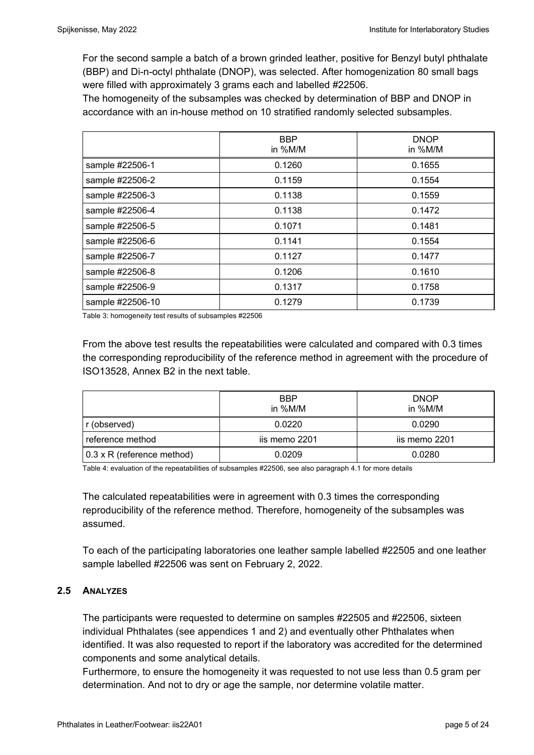For the second sample a batch of a brown grinded leather, positive for Benzyl butyl phthalate (BBP) and Di-n-octyl phthalate (DNOP), was selected. After homogenization 80 small bags were filled with approximately 3 grams each and labelled #22506.

The homogeneity of the subsamples was checked by determination of BBP and DNOP in accordance with an in-house method on 10 stratified randomly selected subsamples.

|                  | <b>BBP</b><br>in %M/M | <b>DNOP</b><br>in %M/M |
|------------------|-----------------------|------------------------|
| sample #22506-1  | 0.1260                | 0.1655                 |
| sample #22506-2  | 0.1159                | 0.1554                 |
| sample #22506-3  | 0.1138                | 0.1559                 |
| sample #22506-4  | 0.1138                | 0.1472                 |
| sample #22506-5  | 0.1071                | 0.1481                 |
| sample #22506-6  | 0.1141                | 0.1554                 |
| sample #22506-7  | 0.1127                | 0.1477                 |
| sample #22506-8  | 0.1206                | 0.1610                 |
| sample #22506-9  | 0.1317                | 0.1758                 |
| sample #22506-10 | 0.1279                | 0.1739                 |

Table 3: homogeneity test results of subsamples #22506

From the above test results the repeatabilities were calculated and compared with 0.3 times the corresponding reproducibility of the reference method in agreement with the procedure of ISO13528, Annex B2 in the next table.

|                                   | <b>BBP</b><br>in %M/M | <b>DNOP</b><br>in %M/M |
|-----------------------------------|-----------------------|------------------------|
| r (observed)                      | 0.0220                | 0.0290                 |
| reference method                  | iis memo 2201         | iis memo 2201          |
| $0.3 \times R$ (reference method) | 0.0209                | 0.0280                 |

Table 4: evaluation of the repeatabilities of subsamples #22506, see also paragraph 4.1 for more details

The calculated repeatabilities were in agreement with 0.3 times the corresponding reproducibility of the reference method. Therefore, homogeneity of the subsamples was assumed.

To each of the participating laboratories one leather sample labelled #22505 and one leather sample labelled #22506 was sent on February 2, 2022.

# **2.5 ANALYZES**

The participants were requested to determine on samples #22505 and #22506, sixteen individual Phthalates (see appendices 1 and 2) and eventually other Phthalates when identified. It was also requested to report if the laboratory was accredited for the determined components and some analytical details.

Furthermore, to ensure the homogeneity it was requested to not use less than 0.5 gram per determination. And not to dry or age the sample, nor determine volatile matter.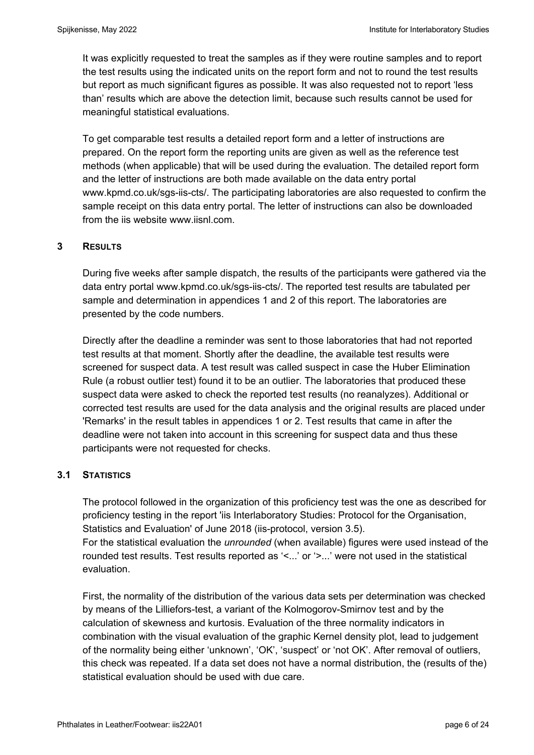It was explicitly requested to treat the samples as if they were routine samples and to report the test results using the indicated units on the report form and not to round the test results but report as much significant figures as possible. It was also requested not to report 'less than' results which are above the detection limit, because such results cannot be used for meaningful statistical evaluations.

To get comparable test results a detailed report form and a letter of instructions are prepared. On the report form the reporting units are given as well as the reference test methods (when applicable) that will be used during the evaluation. The detailed report form and the letter of instructions are both made available on the data entry portal www.kpmd.co.uk/sgs-iis-cts/. The participating laboratories are also requested to confirm the sample receipt on this data entry portal. The letter of instructions can also be downloaded from the iis website www.iisnl.com.

# **3 RESULTS**

During five weeks after sample dispatch, the results of the participants were gathered via the data entry portal www.kpmd.co.uk/sgs-iis-cts/. The reported test results are tabulated per sample and determination in appendices 1 and 2 of this report. The laboratories are presented by the code numbers.

Directly after the deadline a reminder was sent to those laboratories that had not reported test results at that moment. Shortly after the deadline, the available test results were screened for suspect data. A test result was called suspect in case the Huber Elimination Rule (a robust outlier test) found it to be an outlier. The laboratories that produced these suspect data were asked to check the reported test results (no reanalyzes). Additional or corrected test results are used for the data analysis and the original results are placed under 'Remarks' in the result tables in appendices 1 or 2. Test results that came in after the deadline were not taken into account in this screening for suspect data and thus these participants were not requested for checks.

# **3.1 STATISTICS**

The protocol followed in the organization of this proficiency test was the one as described for proficiency testing in the report 'iis Interlaboratory Studies: Protocol for the Organisation, Statistics and Evaluation' of June 2018 (iis-protocol, version 3.5). For the statistical evaluation the *unrounded* (when available) figures were used instead of the rounded test results. Test results reported as '<...' or '>...' were not used in the statistical

evaluation.

First, the normality of the distribution of the various data sets per determination was checked by means of the Lilliefors-test, a variant of the Kolmogorov-Smirnov test and by the calculation of skewness and kurtosis. Evaluation of the three normality indicators in combination with the visual evaluation of the graphic Kernel density plot, lead to judgement of the normality being either 'unknown', 'OK', 'suspect' or 'not OK'. After removal of outliers, this check was repeated. If a data set does not have a normal distribution, the (results of the) statistical evaluation should be used with due care.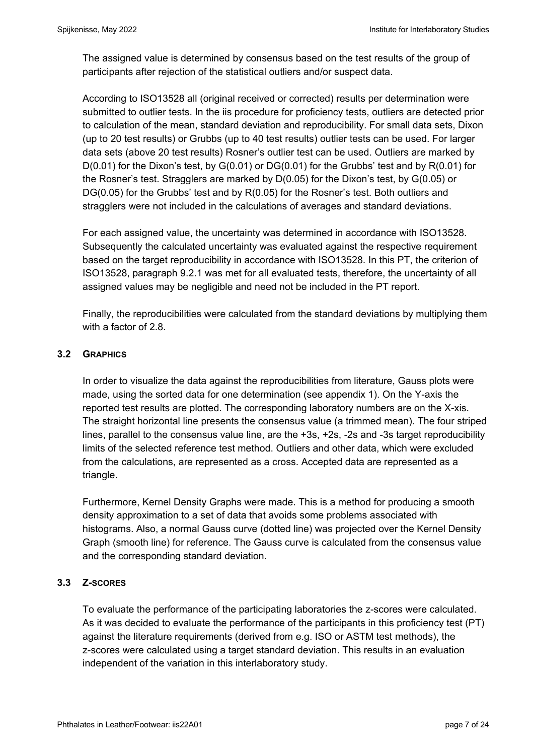The assigned value is determined by consensus based on the test results of the group of participants after rejection of the statistical outliers and/or suspect data.

According to ISO13528 all (original received or corrected) results per determination were submitted to outlier tests. In the iis procedure for proficiency tests, outliers are detected prior to calculation of the mean, standard deviation and reproducibility. For small data sets, Dixon (up to 20 test results) or Grubbs (up to 40 test results) outlier tests can be used. For larger data sets (above 20 test results) Rosner's outlier test can be used. Outliers are marked by  $D(0.01)$  for the Dixon's test, by  $G(0.01)$  or  $DG(0.01)$  for the Grubbs' test and by  $R(0.01)$  for the Rosner's test. Stragglers are marked by D(0.05) for the Dixon's test, by G(0.05) or DG(0.05) for the Grubbs' test and by R(0.05) for the Rosner's test. Both outliers and stragglers were not included in the calculations of averages and standard deviations.

For each assigned value, the uncertainty was determined in accordance with ISO13528. Subsequently the calculated uncertainty was evaluated against the respective requirement based on the target reproducibility in accordance with ISO13528. In this PT, the criterion of ISO13528, paragraph 9.2.1 was met for all evaluated tests, therefore, the uncertainty of all assigned values may be negligible and need not be included in the PT report.

Finally, the reproducibilities were calculated from the standard deviations by multiplying them with a factor of 2.8.

# **3.2 GRAPHICS**

In order to visualize the data against the reproducibilities from literature, Gauss plots were made, using the sorted data for one determination (see appendix 1). On the Y-axis the reported test results are plotted. The corresponding laboratory numbers are on the X-xis. The straight horizontal line presents the consensus value (a trimmed mean). The four striped lines, parallel to the consensus value line, are the +3s, +2s, -2s and -3s target reproducibility limits of the selected reference test method. Outliers and other data, which were excluded from the calculations, are represented as a cross. Accepted data are represented as a triangle.

Furthermore, Kernel Density Graphs were made. This is a method for producing a smooth density approximation to a set of data that avoids some problems associated with histograms. Also, a normal Gauss curve (dotted line) was projected over the Kernel Density Graph (smooth line) for reference. The Gauss curve is calculated from the consensus value and the corresponding standard deviation.

# **3.3 Z-SCORES**

To evaluate the performance of the participating laboratories the z-scores were calculated. As it was decided to evaluate the performance of the participants in this proficiency test (PT) against the literature requirements (derived from e.g. ISO or ASTM test methods), the z-scores were calculated using a target standard deviation. This results in an evaluation independent of the variation in this interlaboratory study.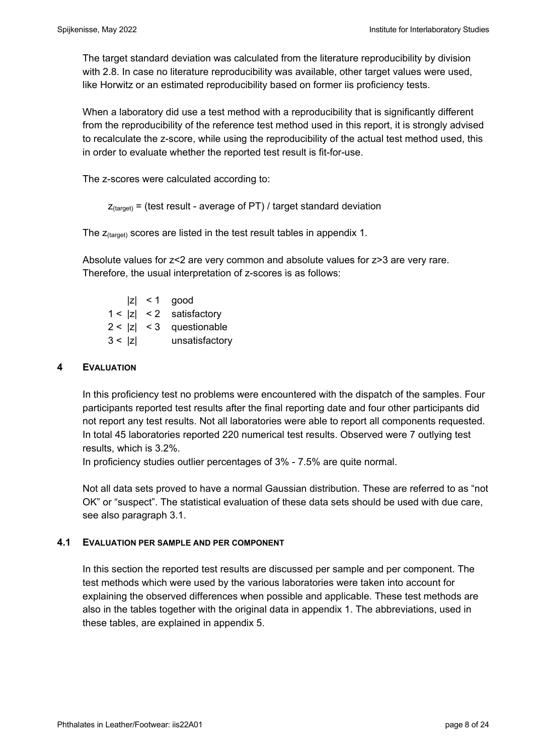The target standard deviation was calculated from the literature reproducibility by division with 2.8. In case no literature reproducibility was available, other target values were used, like Horwitz or an estimated reproducibility based on former iis proficiency tests.

When a laboratory did use a test method with a reproducibility that is significantly different from the reproducibility of the reference test method used in this report, it is strongly advised to recalculate the z-score, while using the reproducibility of the actual test method used, this in order to evaluate whether the reported test result is fit-for-use.

The z-scores were calculated according to:

```
Z_{\text{target}} = (test result - average of PT) / target standard deviation
```
The  $z_{\text{(target)}}$  scores are listed in the test result tables in appendix 1.

Absolute values for z<2 are very common and absolute values for z>3 are very rare. Therefore, the usual interpretation of z-scores is as follows:

|        | $ z  < 1$ good             |
|--------|----------------------------|
|        | $1 <  z  < 2$ satisfactory |
|        | $2 <  z  < 3$ questionable |
| 3 <  z | unsatisfactory             |

#### **4 EVALUATION**

In this proficiency test no problems were encountered with the dispatch of the samples. Four participants reported test results after the final reporting date and four other participants did not report any test results. Not all laboratories were able to report all components requested. In total 45 laboratories reported 220 numerical test results. Observed were 7 outlying test results, which is 3.2%.

In proficiency studies outlier percentages of 3% - 7.5% are quite normal.

Not all data sets proved to have a normal Gaussian distribution. These are referred to as "not OK" or "suspect". The statistical evaluation of these data sets should be used with due care, see also paragraph 3.1.

#### **4.1 EVALUATION PER SAMPLE AND PER COMPONENT**

In this section the reported test results are discussed per sample and per component. The test methods which were used by the various laboratories were taken into account for explaining the observed differences when possible and applicable. These test methods are also in the tables together with the original data in appendix 1. The abbreviations, used in these tables, are explained in appendix 5.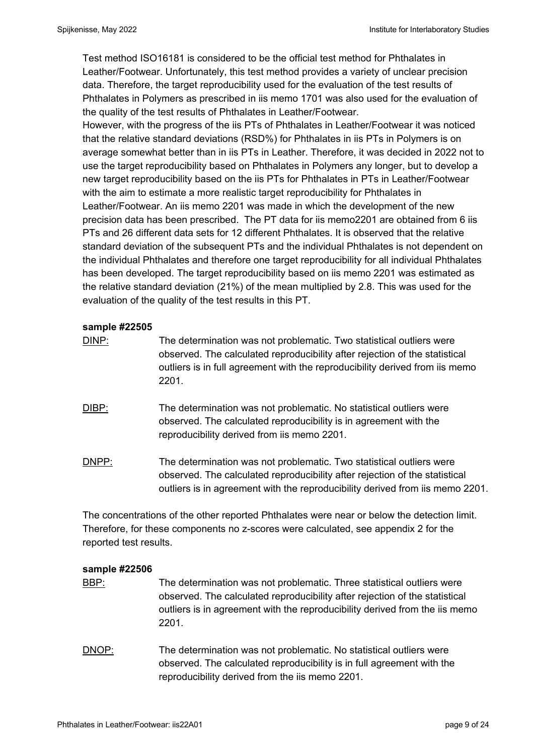Test method ISO16181 is considered to be the official test method for Phthalates in Leather/Footwear. Unfortunately, this test method provides a variety of unclear precision data. Therefore, the target reproducibility used for the evaluation of the test results of Phthalates in Polymers as prescribed in iis memo 1701 was also used for the evaluation of the quality of the test results of Phthalates in Leather/Footwear.

However, with the progress of the iis PTs of Phthalates in Leather/Footwear it was noticed that the relative standard deviations (RSD%) for Phthalates in iis PTs in Polymers is on average somewhat better than in iis PTs in Leather. Therefore, it was decided in 2022 not to use the target reproducibility based on Phthalates in Polymers any longer, but to develop a new target reproducibility based on the iis PTs for Phthalates in PTs in Leather/Footwear with the aim to estimate a more realistic target reproducibility for Phthalates in Leather/Footwear. An iis memo 2201 was made in which the development of the new precision data has been prescribed. The PT data for iis memo2201 are obtained from 6 iis PTs and 26 different data sets for 12 different Phthalates. It is observed that the relative standard deviation of the subsequent PTs and the individual Phthalates is not dependent on the individual Phthalates and therefore one target reproducibility for all individual Phthalates has been developed. The target reproducibility based on iis memo 2201 was estimated as the relative standard deviation (21%) of the mean multiplied by 2.8. This was used for the evaluation of the quality of the test results in this PT.

# **sample #22505**

| DINP:        | The determination was not problematic. Two statistical outliers were<br>observed. The calculated reproducibility after rejection of the statistical<br>outliers is in full agreement with the reproducibility derived from iis memo<br>2201. |
|--------------|----------------------------------------------------------------------------------------------------------------------------------------------------------------------------------------------------------------------------------------------|
| <b>DIBP:</b> | The determination was not problematic. No statistical outliers were<br>observed. The calculated reproducibility is in agreement with the<br>reproducibility derived from iis memo 2201.                                                      |
| DNPP:        | The determination was not problematic. Two statistical outliers were<br>observed. The calculated reproducibility after rejection of the statistical<br>outliers is in agreement with the reproducibility derived from iis memo 2201.         |

The concentrations of the other reported Phthalates were near or below the detection limit. Therefore, for these components no z-scores were calculated, see appendix 2 for the reported test results.

# **sample #22506**

- BBP: The determination was not problematic. Three statistical outliers were observed. The calculated reproducibility after rejection of the statistical outliers is in agreement with the reproducibility derived from the iis memo 2201.
- DNOP: The determination was not problematic. No statistical outliers were observed. The calculated reproducibility is in full agreement with the reproducibility derived from the iis memo 2201.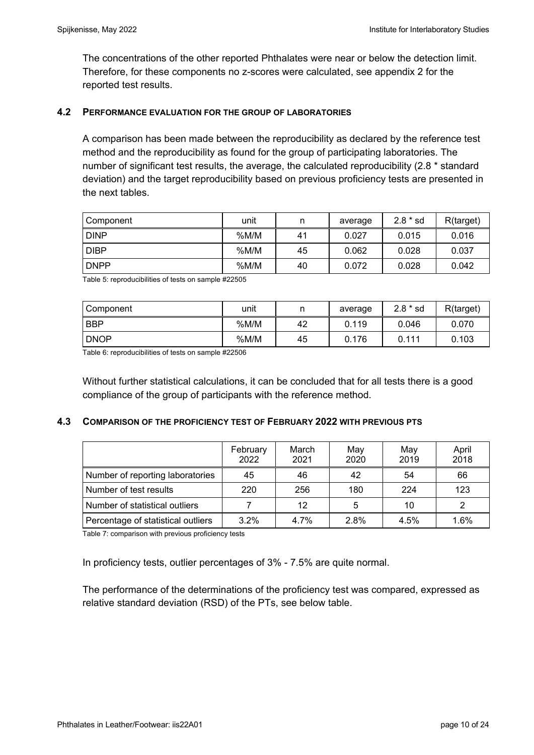The concentrations of the other reported Phthalates were near or below the detection limit. Therefore, for these components no z-scores were calculated, see appendix 2 for the reported test results.

#### **4.2 PERFORMANCE EVALUATION FOR THE GROUP OF LABORATORIES**

A comparison has been made between the reproducibility as declared by the reference test method and the reproducibility as found for the group of participating laboratories. The number of significant test results, the average, the calculated reproducibility (2.8 \* standard deviation) and the target reproducibility based on previous proficiency tests are presented in the next tables.

| ⊩Component  | unit | n  | average | $2.8 * sd$ | R(target) |
|-------------|------|----|---------|------------|-----------|
| <b>DINP</b> | %M/M | 41 | 0.027   | 0.015      | 0.016     |
| <b>DIBP</b> | %M/M | 45 | 0.062   | 0.028      | 0.037     |
| <b>DNPP</b> | %M/M | 40 | 0.072   | 0.028      | 0.042     |

Table 5: reproducibilities of tests on sample #22505

| Component   | unit | n  | average | $2.8 * sd$ | R(target) |
|-------------|------|----|---------|------------|-----------|
| <b>BBP</b>  | %M/M | 42 | 0.119   | 0.046      | 0.070     |
| <b>DNOP</b> | %M/M | 45 | 0.176   | 0.111      | 0.103     |

Table 6: reproducibilities of tests on sample #22506

Without further statistical calculations, it can be concluded that for all tests there is a good compliance of the group of participants with the reference method.

# **4.3 COMPARISON OF THE PROFICIENCY TEST OF FEBRUARY 2022 WITH PREVIOUS PTS**

|                                    | February<br>2022 | March<br>2021 | May<br>2020 | May<br>2019 | April<br>2018 |
|------------------------------------|------------------|---------------|-------------|-------------|---------------|
| Number of reporting laboratories   | 45               | 46            | 42          | 54          | 66            |
| Number of test results             | 220              | 256           | 180         | 224         | 123           |
| Number of statistical outliers     |                  | 12            | 5           | 10          |               |
| Percentage of statistical outliers | 3.2%             | 4.7%          | 2.8%        | 4.5%        | 1.6%          |

Table 7: comparison with previous proficiency tests

In proficiency tests, outlier percentages of 3% - 7.5% are quite normal.

The performance of the determinations of the proficiency test was compared, expressed as relative standard deviation (RSD) of the PTs, see below table.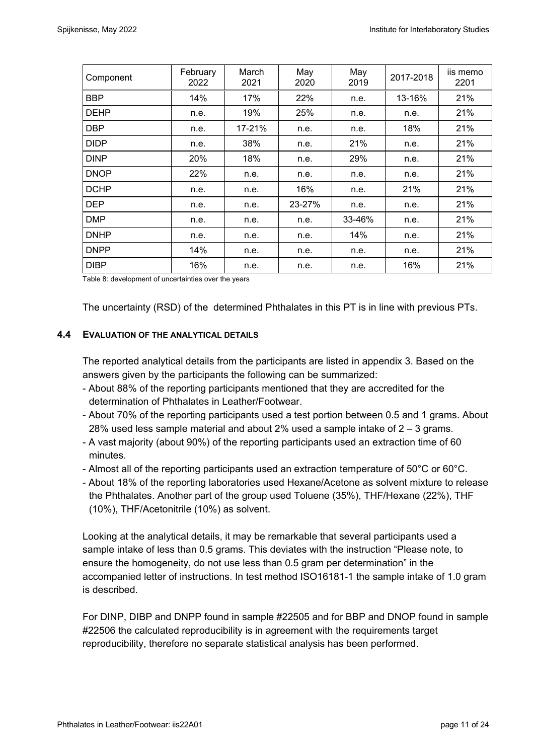| Component   | February<br>2022 | March<br>2021 | May<br>2020 | May<br>2019 | 2017-2018 | iis memo<br>2201 |
|-------------|------------------|---------------|-------------|-------------|-----------|------------------|
| <b>BBP</b>  | 14%              | 17%           | 22%         | n.e.        | 13-16%    | 21%              |
| <b>DEHP</b> | n.e.             | 19%           | 25%         | n.e.        | n.e.      | 21%              |
| <b>DBP</b>  | n.e.             | 17-21%        | n.e.        | n.e.        | 18%       | 21%              |
| <b>DIDP</b> | n.e.             | 38%           | n.e.        | 21%         | n.e.      | 21%              |
| <b>DINP</b> | 20%              | 18%           | n.e.        | 29%         | n.e.      | 21%              |
| <b>DNOP</b> | 22%              | n.e.          | n.e.        | n.e.        | n.e.      | 21%              |
| <b>DCHP</b> | n.e.             | n.e.          | 16%         | n.e.        | 21%       | 21%              |
| <b>DEP</b>  | n.e.             | n.e.          | 23-27%      | n.e.        | n.e.      | 21%              |
| <b>DMP</b>  | n.e.             | n.e.          | n.e.        | 33-46%      | n.e.      | 21%              |
| <b>DNHP</b> | n.e.             | n.e.          | n.e.        | 14%         | n.e.      | 21%              |
| <b>DNPP</b> | 14%              | n.e.          | n.e.        | n.e.        | n.e.      | 21%              |
| <b>DIBP</b> | 16%              | n.e.          | n.e.        | n.e.        | 16%       | 21%              |

Table 8: development of uncertainties over the years

The uncertainty (RSD) of the determined Phthalates in this PT is in line with previous PTs.

#### **4.4 EVALUATION OF THE ANALYTICAL DETAILS**

The reported analytical details from the participants are listed in appendix 3. Based on the answers given by the participants the following can be summarized:

- About 88% of the reporting participants mentioned that they are accredited for the determination of Phthalates in Leather/Footwear.
- About 70% of the reporting participants used a test portion between 0.5 and 1 grams. About 28% used less sample material and about 2% used a sample intake of  $2 - 3$  grams.
- A vast majority (about 90%) of the reporting participants used an extraction time of 60 minutes.
- Almost all of the reporting participants used an extraction temperature of 50°C or 60°C.
- About 18% of the reporting laboratories used Hexane/Acetone as solvent mixture to release the Phthalates. Another part of the group used Toluene (35%), THF/Hexane (22%), THF (10%), THF/Acetonitrile (10%) as solvent.

Looking at the analytical details, it may be remarkable that several participants used a sample intake of less than 0.5 grams. This deviates with the instruction "Please note, to ensure the homogeneity, do not use less than 0.5 gram per determination" in the accompanied letter of instructions. In test method ISO16181-1 the sample intake of 1.0 gram is described.

For DINP, DIBP and DNPP found in sample #22505 and for BBP and DNOP found in sample #22506 the calculated reproducibility is in agreement with the requirements target reproducibility, therefore no separate statistical analysis has been performed.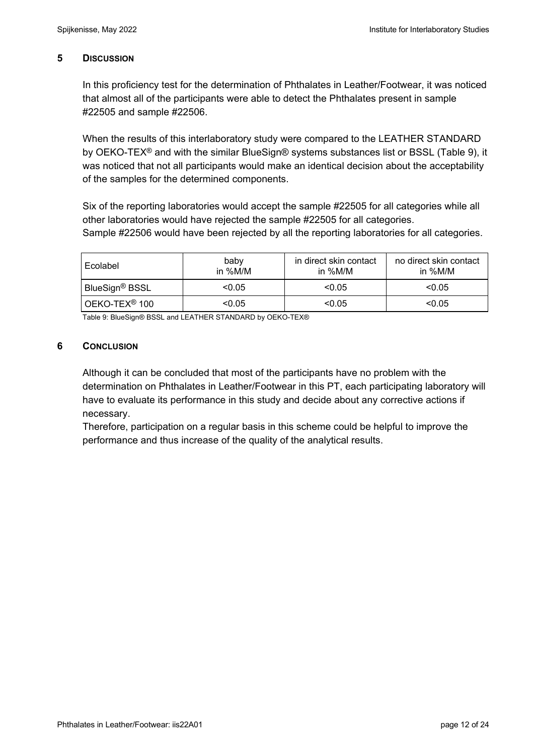# **5 DISCUSSION**

In this proficiency test for the determination of Phthalates in Leather/Footwear, it was noticed that almost all of the participants were able to detect the Phthalates present in sample #22505 and sample #22506.

When the results of this interlaboratory study were compared to the LEATHER STANDARD by OEKO-TEX® and with the similar BlueSign® systems substances list or BSSL (Table 9), it was noticed that not all participants would make an identical decision about the acceptability of the samples for the determined components.

Six of the reporting laboratories would accept the sample #22505 for all categories while all other laboratories would have rejected the sample #22505 for all categories. Sample #22506 would have been rejected by all the reporting laboratories for all categories.

| baby<br>Ecolabel<br>in %M/M |        | in direct skin contact<br>in $\%$ M/M | no direct skin contact<br>in $\%$ M/M |  |
|-----------------------------|--------|---------------------------------------|---------------------------------------|--|
| BlueSign® BSSL              | < 0.05 | < 0.05                                | < 0.05                                |  |
| OEKO-TEX <sup>®</sup> 100   | < 0.05 | < 0.05                                | < 0.05                                |  |

Table 9: BlueSign® BSSL and LEATHER STANDARD by OEKO-TEX®

# **6 CONCLUSION**

Although it can be concluded that most of the participants have no problem with the determination on Phthalates in Leather/Footwear in this PT, each participating laboratory will have to evaluate its performance in this study and decide about any corrective actions if necessary.

Therefore, participation on a regular basis in this scheme could be helpful to improve the performance and thus increase of the quality of the analytical results.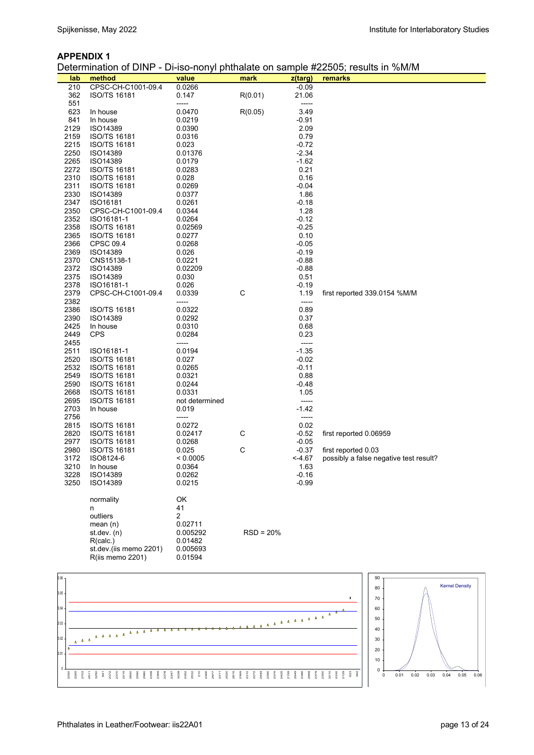#### **APPENDIX 1**

Determination of DINP - Di-iso-nonyl phthalate on sample #22505; results in %M/M

|      | ויווש וטווטוטוטוס      |                |             |         | 2000, 100 11011yi phililalalo on bampio #22000, 100ailo 111 701With |
|------|------------------------|----------------|-------------|---------|---------------------------------------------------------------------|
| lab  | method                 | value          | mark        | z(targ) | remarks                                                             |
| 210  | CPSC-CH-C1001-09.4     | 0.0266         |             | $-0.09$ |                                                                     |
| 362  | <b>ISO/TS 16181</b>    | 0.147          | R(0.01)     | 21.06   |                                                                     |
| 551  |                        | -----          |             | -----   |                                                                     |
|      |                        |                |             |         |                                                                     |
| 623  | In house               | 0.0470         | R(0.05)     | 3.49    |                                                                     |
| 841  | In house               | 0.0219         |             | -0.91   |                                                                     |
| 2129 | ISO14389               | 0.0390         |             | 2.09    |                                                                     |
| 2159 | <b>ISO/TS 16181</b>    | 0.0316         |             | 0.79    |                                                                     |
| 2215 | <b>ISO/TS 16181</b>    | 0.023          |             | $-0.72$ |                                                                     |
|      |                        |                |             |         |                                                                     |
| 2250 | <b>ISO14389</b>        | 0.01376        |             | $-2.34$ |                                                                     |
| 2265 | ISO14389               | 0.0179         |             | $-1.62$ |                                                                     |
| 2272 | ISO/TS 16181           | 0.0283         |             | 0.21    |                                                                     |
| 2310 | <b>ISO/TS 16181</b>    | 0.028          |             | 0.16    |                                                                     |
| 2311 | <b>ISO/TS 16181</b>    | 0.0269         |             | $-0.04$ |                                                                     |
| 2330 | <b>ISO14389</b>        | 0.0377         |             | 1.86    |                                                                     |
| 2347 |                        |                |             | $-0.18$ |                                                                     |
|      | ISO16181               | 0.0261         |             |         |                                                                     |
| 2350 | CPSC-CH-C1001-09.4     | 0.0344         |             | 1.28    |                                                                     |
| 2352 | ISO16181-1             | 0.0264         |             | $-0.12$ |                                                                     |
| 2358 | <b>ISO/TS 16181</b>    | 0.02569        |             | $-0.25$ |                                                                     |
| 2365 | ISO/TS 16181           | 0.0277         |             | 0.10    |                                                                     |
| 2366 | CPSC 09.4              | 0.0268         |             | $-0.05$ |                                                                     |
|      |                        |                |             |         |                                                                     |
| 2369 | <b>ISO14389</b>        | 0.026          |             | $-0.19$ |                                                                     |
| 2370 | CNS15138-1             | 0.0221         |             | $-0.88$ |                                                                     |
| 2372 | ISO14389               | 0.02209        |             | $-0.88$ |                                                                     |
| 2375 | ISO14389               | 0.030          |             | 0.51    |                                                                     |
| 2378 | ISO16181-1             | 0.026          |             | $-0.19$ |                                                                     |
| 2379 | CPSC-CH-C1001-09.4     | 0.0339         | C           | 1.19    | first reported 339.0154 %M/M                                        |
|      |                        |                |             |         |                                                                     |
| 2382 |                        | -----          |             | -----   |                                                                     |
| 2386 | ISO/TS 16181           | 0.0322         |             | 0.89    |                                                                     |
| 2390 | ISO14389               | 0.0292         |             | 0.37    |                                                                     |
| 2425 | In house               | 0.0310         |             | 0.68    |                                                                     |
| 2449 | <b>CPS</b>             | 0.0284         |             | 0.23    |                                                                     |
| 2455 |                        | -----          |             | -----   |                                                                     |
| 2511 | ISO16181-1             |                |             | $-1.35$ |                                                                     |
|      |                        | 0.0194         |             |         |                                                                     |
| 2520 | ISO/TS 16181           | 0.027          |             | $-0.02$ |                                                                     |
| 2532 | ISO/TS 16181           | 0.0265         |             | $-0.11$ |                                                                     |
| 2549 | ISO/TS 16181           | 0.0321         |             | 0.88    |                                                                     |
| 2590 | ISO/TS 16181           | 0.0244         |             | -0.48   |                                                                     |
| 2668 | <b>ISO/TS 16181</b>    | 0.0331         |             | 1.05    |                                                                     |
| 2695 | <b>ISO/TS 16181</b>    |                |             | -----   |                                                                     |
|      |                        | not determined |             |         |                                                                     |
| 2703 | In house               | 0.019          |             | $-1.42$ |                                                                     |
| 2756 |                        | -----          |             | -----   |                                                                     |
| 2815 | ISO/TS 16181           | 0.0272         |             | 0.02    |                                                                     |
| 2820 | ISO/TS 16181           | 0.02417        | С           | $-0.52$ | first reported 0.06959                                              |
| 2977 | <b>ISO/TS 16181</b>    | 0.0268         |             | $-0.05$ |                                                                     |
| 2980 | <b>ISO/TS 16181</b>    | 0.025          | C           | $-0.37$ | first reported 0.03                                                 |
|      |                        |                |             |         |                                                                     |
| 3172 | ISO8124-6              | < 0.0005       |             | <-4.67  | possibly a false negative test result?                              |
| 3210 | In house               | 0.0364         |             | 1.63    |                                                                     |
| 3228 | ISO14389               | 0.0262         |             | $-0.16$ |                                                                     |
| 3250 | ISO14389               | 0.0215         |             | $-0.99$ |                                                                     |
|      |                        |                |             |         |                                                                     |
|      | normality              | OK             |             |         |                                                                     |
|      |                        | 41             |             |         |                                                                     |
|      | n                      |                |             |         |                                                                     |
|      | outliers               | 2              |             |         |                                                                     |
|      | mean $(n)$             | 0.02711        |             |         |                                                                     |
|      | st.dev. (n)            | 0.005292       | $RSD = 20%$ |         |                                                                     |
|      | R(calc.)               | 0.01482        |             |         |                                                                     |
|      | st.dev.(iis memo 2201) | 0.005693       |             |         |                                                                     |
|      |                        |                |             |         |                                                                     |
|      | R(iis memo 2201)       | 0.01594        |             |         |                                                                     |

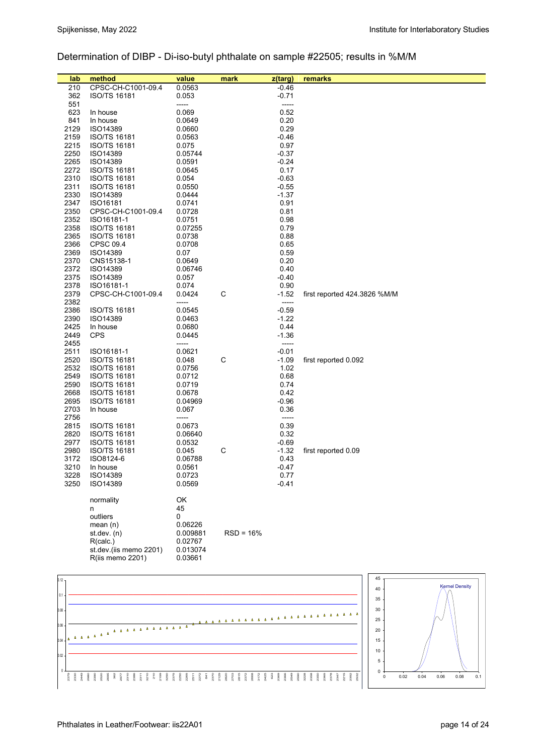# Determination of DIBP - Di-iso-butyl phthalate on sample #22505; results in %M/M

| lab               | method                 | value             | mark        | z(targ)            | remarks                      |
|-------------------|------------------------|-------------------|-------------|--------------------|------------------------------|
| 210               | CPSC-CH-C1001-09.4     | 0.0563            |             | -0.46              |                              |
| 362               | <b>ISO/TS 16181</b>    | 0.053             |             | $-0.71$            |                              |
| 551               |                        | -----             |             | -----              |                              |
| 623               | In house               | 0.069             |             | 0.52               |                              |
| 841               | In house               | 0.0649            |             | 0.20               |                              |
| 2129              | ISO14389               | 0.0660            |             | 0.29               |                              |
| 2159              | <b>ISO/TS 16181</b>    | 0.0563            |             | $-0.46$            |                              |
| 2215              | <b>ISO/TS 16181</b>    | 0.075             |             | 0.97               |                              |
| 2250<br>2265      | ISO14389<br>ISO14389   | 0.05744<br>0.0591 |             | $-0.37$<br>$-0.24$ |                              |
| 2272              | ISO/TS 16181           | 0.0645            |             | 0.17               |                              |
| 2310              | <b>ISO/TS 16181</b>    | 0.054             |             | $-0.63$            |                              |
| 2311              | ISO/TS 16181           | 0.0550            |             | $-0.55$            |                              |
| 2330              | ISO14389               | 0.0444            |             | $-1.37$            |                              |
| 2347              | ISO16181               | 0.0741            |             | 0.91               |                              |
| 2350              | CPSC-CH-C1001-09.4     | 0.0728            |             | 0.81               |                              |
| 2352              | ISO16181-1             | 0.0751            |             | 0.98               |                              |
| 2358              | <b>ISO/TS 16181</b>    | 0.07255           |             | 0.79               |                              |
| 2365              | <b>ISO/TS 16181</b>    | 0.0738            |             | 0.88               |                              |
| 2366              | CPSC 09.4              | 0.0708            |             | 0.65               |                              |
| 2369              | ISO14389               | 0.07              |             | 0.59               |                              |
| 2370              | CNS15138-1             | 0.0649            |             | 0.20               |                              |
| 2372              | ISO14389               | 0.06746           |             | 0.40               |                              |
| 2375              | ISO14389               | 0.057             |             | $-0.40$            |                              |
| 2378              | ISO16181-1             | 0.074             |             | 0.90               |                              |
| 2379              | CPSC-CH-C1001-09.4     | 0.0424            | C           | $-1.52$            | first reported 424.3826 %M/M |
| 2382              |                        | -----             |             | -----              |                              |
| 2386              | ISO/TS 16181           | 0.0545            |             | $-0.59$            |                              |
| 2390              | ISO14389               | 0.0463            |             | $-1.22$            |                              |
| 2425<br>2449      | In house<br><b>CPS</b> | 0.0680<br>0.0445  |             | 0.44<br>$-1.36$    |                              |
| 2455              |                        | -----             |             | -----              |                              |
| 2511              | ISO16181-1             | 0.0621            |             | $-0.01$            |                              |
| 2520              | <b>ISO/TS 16181</b>    | 0.048             | C           | $-1.09$            | first reported 0.092         |
| 2532              | <b>ISO/TS 16181</b>    | 0.0756            |             | 1.02               |                              |
| 2549              | <b>ISO/TS 16181</b>    | 0.0712            |             | 0.68               |                              |
| 2590              | <b>ISO/TS 16181</b>    | 0.0719            |             | 0.74               |                              |
| 2668              | ISO/TS 16181           | 0.0678            |             | 0.42               |                              |
| 2695              | ISO/TS 16181           | 0.04969           |             | $-0.96$            |                              |
| 2703              | In house               | 0.067             |             | 0.36               |                              |
| 2756              |                        | -----             |             | -----              |                              |
| 2815              | <b>ISO/TS 16181</b>    | 0.0673            |             | 0.39               |                              |
| 2820              | <b>ISO/TS 16181</b>    | 0.06640           |             | 0.32               |                              |
| 2977              | ISO/TS 16181           | 0.0532            |             | $-0.69$            |                              |
| 2980              | <b>ISO/TS 16181</b>    | 0.045             | C           | $-1.32$            | first reported 0.09          |
| 3172              | ISO8124-6              | 0.06788           |             | 0.43               |                              |
| 3210              | In house               | 0.0561            |             | $-0.47$            |                              |
| 3228              | ISO14389               | 0.0723            |             | 0.77               |                              |
| 3250              | ISO14389               | 0.0569            |             | $-0.41$            |                              |
|                   | normality              | OK                |             |                    |                              |
|                   | n                      | 45                |             |                    |                              |
|                   | outliers               | 0                 |             |                    |                              |
|                   | mean $(n)$             | 0.06226           |             |                    |                              |
|                   | st.dev. (n)            | 0.009881          | $RSD = 16%$ |                    |                              |
|                   | R(calc.)               | 0.02767           |             |                    |                              |
|                   | st.dev.(iis memo 2201) | 0.013074          |             |                    |                              |
|                   | R(iis memo 2201)       | 0.03661           |             |                    |                              |
|                   |                        |                   |             |                    |                              |
|                   |                        |                   |             |                    | 45                           |
| 0.12 <sub>1</sub> |                        |                   |             |                    |                              |

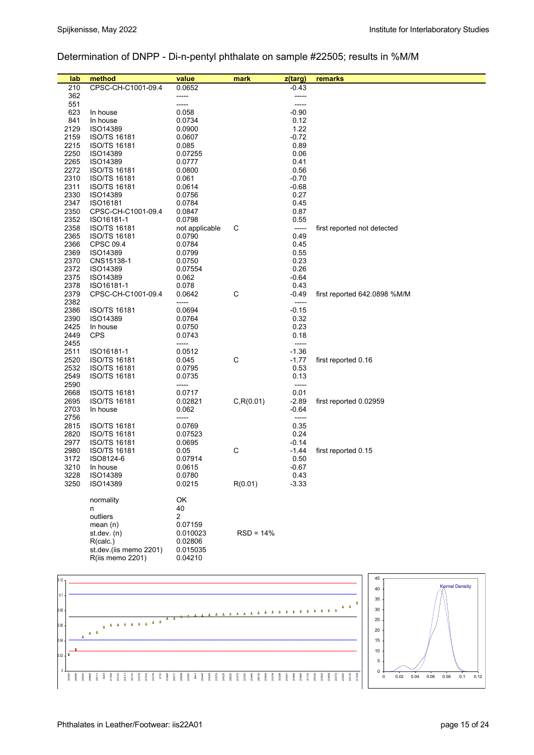# Determination of DNPP - Di-n-pentyl phthalate on sample #22505; results in %M/M

| lab          | method                                     | value                    | mark        | z(targ)       | remarks                      |
|--------------|--------------------------------------------|--------------------------|-------------|---------------|------------------------------|
| 210          | CPSC-CH-C1001-09.4                         | 0.0652                   |             | $-0.43$       |                              |
| 362          |                                            | -----                    |             | -----         |                              |
| 551          |                                            | -----                    |             | $- - - - -$   |                              |
| 623          | In house                                   | 0.058                    |             | $-0.90$       |                              |
| 841          | In house                                   | 0.0734                   |             | 0.12          |                              |
| 2129         | ISO14389                                   | 0.0900                   |             | 1.22          |                              |
| 2159         | <b>ISO/TS 16181</b>                        | 0.0607                   |             | $-0.72$       |                              |
| 2215         | <b>ISO/TS 16181</b>                        | 0.085                    |             | 0.89          |                              |
| 2250         | ISO14389                                   | 0.07255                  |             | 0.06          |                              |
| 2265         | ISO14389                                   | 0.0777                   |             | 0.41          |                              |
| 2272         | ISO/TS 16181                               | 0.0800                   |             | 0.56          |                              |
| 2310         | ISO/TS 16181                               | 0.061                    |             | $-0.70$       |                              |
| 2311         | <b>ISO/TS 16181</b>                        | 0.0614                   |             | $-0.68$       |                              |
| 2330         | ISO14389                                   | 0.0756                   |             | 0.27          |                              |
| 2347         | ISO16181                                   | 0.0784                   |             | 0.45          |                              |
| 2350<br>2352 | CPSC-CH-C1001-09.4                         | 0.0847<br>0.0798         |             | 0.87<br>0.55  |                              |
| 2358         | ISO16181-1<br>ISO/TS 16181                 |                          | C           | -----         |                              |
| 2365         | ISO/TS 16181                               | not applicable<br>0.0790 |             | 0.49          | first reported not detected  |
| 2366         | <b>CPSC 09.4</b>                           | 0.0784                   |             | 0.45          |                              |
| 2369         | ISO14389                                   | 0.0799                   |             | 0.55          |                              |
| 2370         | CNS15138-1                                 | 0.0750                   |             | 0.23          |                              |
| 2372         | ISO14389                                   | 0.07554                  |             | 0.26          |                              |
| 2375         | ISO14389                                   | 0.062                    |             | $-0.64$       |                              |
| 2378         | ISO16181-1                                 | 0.078                    |             | 0.43          |                              |
| 2379         | CPSC-CH-C1001-09.4                         | 0.0642                   | C           | $-0.49$       | first reported 642.0898 %M/M |
| 2382         |                                            | -----                    |             | $-----$       |                              |
| 2386         | ISO/TS 16181                               | 0.0694                   |             | $-0.15$       |                              |
| 2390         | ISO14389                                   | 0.0764                   |             | 0.32          |                              |
| 2425         | In house                                   | 0.0750                   |             | 0.23          |                              |
| 2449         | <b>CPS</b>                                 | 0.0743                   |             | 0.18          |                              |
| 2455         |                                            | -----                    |             | $-----$       |                              |
| 2511         | ISO16181-1                                 | 0.0512                   |             | $-1.36$       |                              |
| 2520         | <b>ISO/TS 16181</b>                        | 0.045                    | C           | $-1.77$       | first reported 0.16          |
| 2532         | ISO/TS 16181                               | 0.0795                   |             | 0.53          |                              |
| 2549<br>2590 | ISO/TS 16181                               | 0.0735<br>-----          |             | 0.13<br>----- |                              |
| 2668         |                                            |                          |             | 0.01          |                              |
| 2695         | <b>ISO/TS 16181</b><br><b>ISO/TS 16181</b> | 0.0717<br>0.02821        | C, R(0.01)  | $-2.89$       | first reported 0.02959       |
| 2703         | In house                                   | 0.062                    |             | $-0.64$       |                              |
| 2756         |                                            | -----                    |             | -----         |                              |
| 2815         | <b>ISO/TS 16181</b>                        | 0.0769                   |             | 0.35          |                              |
| 2820         | <b>ISO/TS 16181</b>                        | 0.07523                  |             | 0.24          |                              |
| 2977         | <b>ISO/TS 16181</b>                        | 0.0695                   |             | $-0.14$       |                              |
| 2980         | <b>ISO/TS 16181</b>                        | 0.05                     | C           | $-1.44$       | first reported 0.15          |
| 3172         | ISO8124-6                                  | 0.07914                  |             | 0.50          |                              |
| 3210         | In house                                   | 0.0615                   |             | $-0.67$       |                              |
| 3228         | ISO14389                                   | 0.0780                   |             | 0.43          |                              |
| 3250         | ISO14389                                   | 0.0215                   | R(0.01)     | $-3.33$       |                              |
|              |                                            |                          |             |               |                              |
|              | normality                                  | OK                       |             |               |                              |
|              | n                                          | 40                       |             |               |                              |
|              | outliers                                   | 2                        |             |               |                              |
|              | mean $(n)$                                 | 0.07159                  | $RSD = 14%$ |               |                              |
|              | st. dev. (n)<br>R(calc.)                   | 0.010023<br>0.02806      |             |               |                              |
|              | st.dev.(iis memo 2201)                     | 0.015035                 |             |               |                              |
|              | R(iis memo 2201)                           | 0.04210                  |             |               |                              |
|              |                                            |                          |             |               |                              |

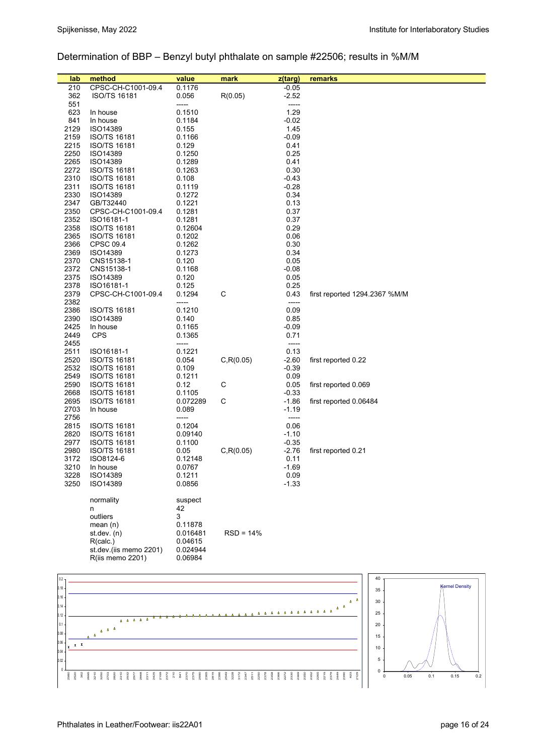# Determination of BBP – Benzyl butyl phthalate on sample #22506; results in %M/M

| lab          | method                              | value             | mark        | z(targ)         | remarks                       |
|--------------|-------------------------------------|-------------------|-------------|-----------------|-------------------------------|
| 210          | CPSC-CH-C1001-09.4                  | 0.1176            |             | $-0.05$         |                               |
| 362          | <b>ISO/TS 16181</b>                 | 0.056             | R(0.05)     | $-2.52$         |                               |
| 551          |                                     | -----             |             | -----           |                               |
| 623          | In house                            | 0.1510            |             | 1.29            |                               |
| 841          | In house                            | 0.1184            |             | $-0.02$         |                               |
| 2129         | ISO14389<br>ISO/TS 16181            | 0.155             |             | 1.45            |                               |
| 2159<br>2215 | <b>ISO/TS 16181</b>                 | 0.1166<br>0.129   |             | $-0.09$<br>0.41 |                               |
| 2250         | ISO14389                            | 0.1250            |             | 0.25            |                               |
| 2265         | ISO14389                            | 0.1289            |             | 0.41            |                               |
| 2272         | ISO/TS 16181                        | 0.1263            |             | 0.30            |                               |
| 2310         | <b>ISO/TS 16181</b>                 | 0.108             |             | $-0.43$         |                               |
| 2311         | <b>ISO/TS 16181</b>                 | 0.1119            |             | $-0.28$         |                               |
| 2330         | ISO14389                            | 0.1272            |             | 0.34            |                               |
| 2347         | GB/T32440                           | 0.1221            |             | 0.13            |                               |
| 2350         | CPSC-CH-C1001-09.4                  | 0.1281            |             | 0.37            |                               |
| 2352         | ISO16181-1                          | 0.1281            |             | 0.37            |                               |
| 2358<br>2365 | ISO/TS 16181<br><b>ISO/TS 16181</b> | 0.12604<br>0.1202 |             | 0.29<br>0.06    |                               |
| 2366         | CPSC 09.4                           | 0.1262            |             | 0.30            |                               |
| 2369         | ISO14389                            | 0.1273            |             | 0.34            |                               |
| 2370         | CNS15138-1                          | 0.120             |             | 0.05            |                               |
| 2372         | CNS15138-1                          | 0.1168            |             | $-0.08$         |                               |
| 2375         | ISO14389                            | 0.120             |             | 0.05            |                               |
| 2378         | ISO16181-1                          | 0.125             |             | 0.25            |                               |
| 2379         | CPSC-CH-C1001-09.4                  | 0.1294            | $\mathsf C$ | 0.43            | first reported 1294.2367 %M/M |
| 2382         |                                     | -----             |             | -----           |                               |
| 2386         | ISO/TS 16181                        | 0.1210            |             | 0.09            |                               |
| 2390         | ISO14389                            | 0.140             |             | 0.85            |                               |
| 2425<br>2449 | In house<br><b>CPS</b>              | 0.1165<br>0.1365  |             | $-0.09$<br>0.71 |                               |
| 2455         |                                     | -----             |             | -----           |                               |
| 2511         | ISO16181-1                          | 0.1221            |             | 0.13            |                               |
| 2520         | ISO/TS 16181                        | 0.054             | C, R(0.05)  | $-2.60$         | first reported 0.22           |
| 2532         | <b>ISO/TS 16181</b>                 | 0.109             |             | $-0.39$         |                               |
| 2549         | <b>ISO/TS 16181</b>                 | 0.1211            |             | 0.09            |                               |
| 2590         | ISO/TS 16181                        | 0.12              | C           | 0.05            | first reported 0.069          |
| 2668         | ISO/TS 16181                        | 0.1105            |             | $-0.33$         |                               |
| 2695         | ISO/TS 16181                        | 0.072289          | С           | $-1.86$         | first reported 0.06484        |
| 2703         | In house                            | 0.089             |             | -1.19           |                               |
| 2756<br>2815 | <b>ISO/TS 16181</b>                 | -----<br>0.1204   |             | -----<br>0.06   |                               |
| 2820         | <b>ISO/TS 16181</b>                 | 0.09140           |             | $-1.10$         |                               |
| 2977         | <b>ISO/TS 16181</b>                 | 0.1100            |             | $-0.35$         |                               |
| 2980         | <b>ISO/TS 16181</b>                 | 0.05              | C, R(0.05)  | $-2.76$         | first reported 0.21           |
| 3172         | ISO8124-6                           | 0.12148           |             | 0.11            |                               |
| 3210         | In house                            | 0.0767            |             | $-1.69$         |                               |
| 3228         | ISO14389                            | 0.1211            |             | 0.09            |                               |
| 3250         | ISO14389                            | 0.0856            |             | $-1.33$         |                               |
|              |                                     |                   |             |                 |                               |
|              | normality<br>n                      | suspect<br>42     |             |                 |                               |
|              | outliers                            | 3                 |             |                 |                               |
|              | mean $(n)$                          | 0.11878           |             |                 |                               |
|              | st.dev. $(n)$                       | 0.016481          | $RSD = 14%$ |                 |                               |
|              | R(calc.)                            | 0.04615           |             |                 |                               |
|              | st.dev.(iis memo 2201)              | 0.024944          |             |                 |                               |
|              | R(iis memo 2201)                    | 0.06984           |             |                 |                               |
|              |                                     |                   |             |                 |                               |

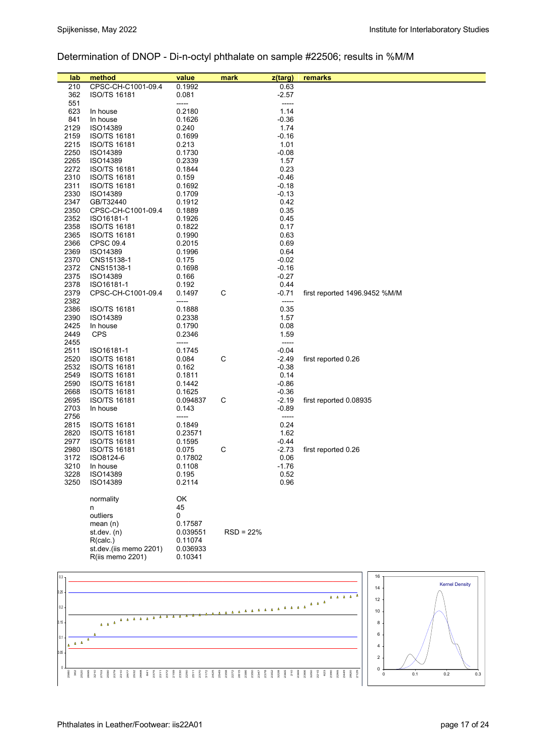# Determination of DNOP - Di-n-octyl phthalate on sample #22506; results in %M/M

| lab          | method                                     | value           | mark        | z(targ)            | remarks                       |
|--------------|--------------------------------------------|-----------------|-------------|--------------------|-------------------------------|
| 210          | CPSC-CH-C1001-09.4                         | 0.1992          |             | 0.63               |                               |
| 362          | ISO/TS 16181                               | 0.081           |             | -2.57              |                               |
| 551          |                                            | -----           |             | -----              |                               |
| 623          | In house                                   | 0.2180          |             | 1.14               |                               |
| 841          | In house                                   | 0.1626          |             | $-0.36$            |                               |
| 2129         | ISO14389                                   | 0.240           |             | 1.74               |                               |
| 2159         | ISO/TS 16181                               | 0.1699          |             | $-0.16$            |                               |
| 2215         | <b>ISO/TS 16181</b>                        | 0.213           |             | 1.01               |                               |
| 2250         | ISO14389                                   | 0.1730          |             | $-0.08$            |                               |
| 2265         | ISO14389                                   | 0.2339          |             | 1.57               |                               |
| 2272         | <b>ISO/TS 16181</b>                        | 0.1844          |             | 0.23               |                               |
| 2310<br>2311 | <b>ISO/TS 16181</b><br><b>ISO/TS 16181</b> | 0.159<br>0.1692 |             | $-0.46$<br>$-0.18$ |                               |
| 2330         | ISO14389                                   | 0.1709          |             | $-0.13$            |                               |
| 2347         | GB/T32440                                  | 0.1912          |             | 0.42               |                               |
| 2350         | CPSC-CH-C1001-09.4                         | 0.1889          |             | 0.35               |                               |
| 2352         | ISO16181-1                                 | 0.1926          |             | 0.45               |                               |
| 2358         | <b>ISO/TS 16181</b>                        | 0.1822          |             | 0.17               |                               |
| 2365         | <b>ISO/TS 16181</b>                        | 0.1990          |             | 0.63               |                               |
| 2366         | CPSC 09.4                                  | 0.2015          |             | 0.69               |                               |
| 2369         | ISO14389                                   | 0.1996          |             | 0.64               |                               |
| 2370         | CNS15138-1                                 | 0.175           |             | $-0.02$            |                               |
| 2372         | CNS15138-1                                 | 0.1698          |             | $-0.16$            |                               |
| 2375         | ISO14389                                   | 0.166           |             | $-0.27$            |                               |
| 2378         | ISO16181-1                                 | 0.192           |             | 0.44               |                               |
| 2379         | CPSC-CH-C1001-09.4                         | 0.1497          | C           | $-0.71$            | first reported 1496.9452 %M/M |
| 2382         |                                            | -----           |             | -----              |                               |
| 2386         | <b>ISO/TS 16181</b>                        | 0.1888          |             | 0.35               |                               |
| 2390         | ISO14389                                   | 0.2338          |             | 1.57               |                               |
| 2425         | In house                                   | 0.1790          |             | 0.08               |                               |
| 2449         | <b>CPS</b>                                 | 0.2346          |             | 1.59               |                               |
| 2455<br>2511 | ISO16181-1                                 | -----<br>0.1745 |             | -----<br>$-0.04$   |                               |
| 2520         | <b>ISO/TS 16181</b>                        | 0.084           | C           | $-2.49$            | first reported 0.26           |
| 2532         | ISO/TS 16181                               | 0.162           |             | $-0.38$            |                               |
| 2549         | <b>ISO/TS 16181</b>                        | 0.1811          |             | 0.14               |                               |
| 2590         | ISO/TS 16181                               | 0.1442          |             | $-0.86$            |                               |
| 2668         | <b>ISO/TS 16181</b>                        | 0.1625          |             | $-0.36$            |                               |
| 2695         | <b>ISO/TS 16181</b>                        | 0.094837        | C           | $-2.19$            | first reported 0.08935        |
| 2703         | In house                                   | 0.143           |             | $-0.89$            |                               |
| 2756         |                                            | -----           |             | -----              |                               |
| 2815         | <b>ISO/TS 16181</b>                        | 0.1849          |             | 0.24               |                               |
| 2820         | <b>ISO/TS 16181</b>                        | 0.23571         |             | 1.62               |                               |
| 2977         | <b>ISO/TS 16181</b>                        | 0.1595          |             | $-0.44$            |                               |
| 2980         | <b>ISO/TS 16181</b>                        | 0.075           | C           | $-2.73$            | first reported 0.26           |
| 3172         | ISO8124-6                                  | 0.17802         |             | 0.06               |                               |
| 3210         | In house                                   | 0.1108          |             | $-1.76$            |                               |
| 3228         | ISO14389                                   | 0.195           |             | 0.52               |                               |
| 3250         | ISO14389                                   | 0.2114          |             | 0.96               |                               |
|              | normality                                  | OK              |             |                    |                               |
|              | n                                          | 45              |             |                    |                               |
|              | outliers                                   | 0               |             |                    |                               |
|              | mean(n)                                    | 0.17587         |             |                    |                               |
|              | st.dev. (n)                                | 0.039551        | $RSD = 22%$ |                    |                               |
|              | R(calc.)                                   | 0.11074         |             |                    |                               |
|              | st.dev.(iis memo 2201)                     | 0.036933        |             |                    |                               |
|              | R(iis memo 2201)                           | 0.10341         |             |                    |                               |
|              |                                            |                 |             |                    |                               |
| 0.3          |                                            |                 |             |                    | 16                            |
|              |                                            |                 |             |                    |                               |

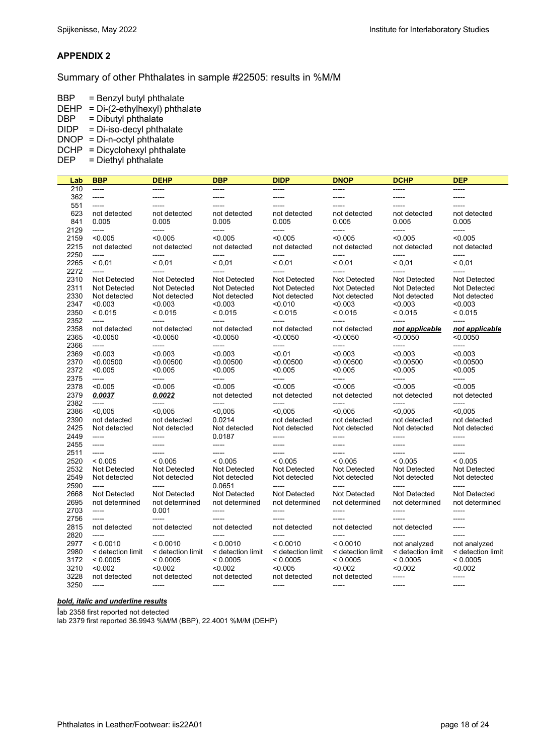#### **APPENDIX 2**

Summary of other Phthalates in sample #22505: results in %M/M

BBP = Benzyl butyl phthalate

- DEHP = Di-(2-ethylhexyl) phthalate
- DBP = Dibutyl phthalate
- DIDP = Di-iso-decyl phthalate
- $D\text{NOP} = \text{Di-n-octyl}$  phthalate
- DCHP = Dicyclohexyl phthalate
- $DEF$  = Diethyl phthalate

| Lab  | <b>BBP</b>        | <b>DEHP</b>       | <b>DBP</b>        | <b>DIDP</b>       | <b>DNOP</b>         | <b>DCHP</b>       | <b>DEP</b>          |
|------|-------------------|-------------------|-------------------|-------------------|---------------------|-------------------|---------------------|
| 210  | $100 - 100$       | -----             | -----             | -----             | $--- -$             | -----             | -----               |
| 362  | $-----$           | -----             | -----             | -----             | -----               | -----             | -----               |
| 551  | -----             | -----             |                   |                   | $---$               | -----             |                     |
| 623  | not detected      | not detected      | not detected      | not detected      | not detected        | not detected      | not detected        |
| 841  | 0.005             | 0.005             | 0.005             | 0.005             | 0.005               | 0.005             | 0.005               |
| 2129 | -----             | -----             | -----             | -----             | $--- -$             | -----             | -----               |
| 2159 | < 0.005           | < 0.005           | < 0.005           | < 0.005           | < 0.005             | < 0.005           | < 0.005             |
| 2215 | not detected      | not detected      | not detected      | not detected      | not detected        | not detected      | not detected        |
| 2250 | -----             | -----             | -----             | -----             | $-----$             | -----             | -----               |
| 2265 | < 0.01            | < 0.01            | < 0.01            | < 0.01            | < 0.01              | < 0.01            | < 0.01              |
| 2272 | $\cdots$          | -----             | $---$             | -----             | $--- -$             | -----             | $---$               |
| 2310 | Not Detected      | Not Detected      | Not Detected      | Not Detected      | <b>Not Detected</b> | Not Detected      | Not Detected        |
| 2311 | Not Detected      | Not Detected      | Not Detected      | Not Detected      | Not Detected        | Not Detected      | <b>Not Detected</b> |
| 2330 | Not detected      | Not detected      | Not detected      | Not detected      | Not detected        | Not detected      | Not detected        |
| 2347 | < 0.003           | < 0.003           | < 0.003           | < 0.010           | < 0.003             | < 0.003           | < 0.003             |
| 2350 | < 0.015           | < 0.015           | < 0.015           | < 0.015           | < 0.015             | < 0.015           | < 0.015             |
| 2352 |                   | -----             | -----             | -----             | -----               | -----             | -----               |
| 2358 | not detected      | not detected      | not detected      | not detected      | not detected        | not applicable    | not applicable      |
| 2365 | < 0.0050          | < 0.0050          | < 0.0050          | < 0.0050          | < 0.0050            | < 0.0050          | < 0.0050            |
| 2366 | -----             | -----             | -----             | -----             | -----               | -----             | -----               |
| 2369 | < 0.003           | < 0.003           | < 0.003           | < 0.01            | < 0.003             | < 0.003           | < 0.003             |
| 2370 | < 0.00500         | < 0.00500         | < 0.00500         | < 0.00500         | < 0.00500           | < 0.00500         | < 0.00500           |
| 2372 | < 0.005           | < 0.005           | < 0.005           | < 0.005           | < 0.005             | < 0.005           | < 0.005             |
| 2375 | $-----$           | -----             | -----             | -----             | -----               | -----             | -----               |
| 2378 | < 0.005           | < 0.005           | < 0.005           | < 0.005           | < 0.005             | < 0.005           | < 0.005             |
| 2379 | 0.0037            | 0.0022            | not detected      | not detected      | not detected        | not detected      | not detected        |
| 2382 | $100 - 100 - 100$ | -----             | -----             | -----             | -----               | -----             | -----               |
| 2386 | < 0.005           | < 0.005           | < 0.005           | < 0.005           | < 0.005             | < 0.005           | < 0.005             |
| 2390 | not detected      | not detected      | 0.0214            | not detected      | not detected        | not detected      | not detected        |
| 2425 | Not detected      | Not detected      | Not detected      | Not detected      | Not detected        | Not detected      | Not detected        |
| 2449 | $-----$           | -----             | 0.0187            | -----             | -----               | -----             | -----               |
| 2455 | -----             | $--- -$           | -----             | ------            | $\frac{1}{1}$       | -----             | -----               |
| 2511 | $-----$           | -----             | -----             | -----             | -----               | -----             | -----               |
| 2520 | < 0.005           | < 0.005           | < 0.005           | < 0.005           | < 0.005             | < 0.005           | < 0.005             |
| 2532 | Not Detected      | Not Detected      | Not Detected      | Not Detected      | Not Detected        | Not Detected      | Not Detected        |
| 2549 | Not detected      | Not detected      | Not detected      | Not detected      | Not detected        | Not detected      | Not detected        |
| 2590 | $---$             | -----             | 0.0651            | -----             | $--- -$             | -----             | -----               |
| 2668 | Not Detected      | Not Detected      | Not Detected      | Not Detected      | Not Detected        | Not Detected      | <b>Not Detected</b> |
| 2695 | not determined    | not determined    | not determined    | not determined    | not determined      | not determined    | not determined      |
| 2703 | $-----$           | 0.001             | -----             | -----             | -----               | -----             | -----               |
| 2756 |                   | -----             | -----             | -----             | $-$ ----            | $---$             | -----               |
| 2815 | not detected      | not detected      | not detected      | not detected      | not detected        | not detected      | -----               |
| 2820 | -----             | -----             | -----             | -----             | $- - - - -$         |                   | -----               |
| 2977 | < 0.0010          | < 0.0010          | < 0.0010          | < 0.0010          | < 0.0010            | not analyzed      | not analyzed        |
| 2980 | < detection limit | < detection limit | < detection limit | < detection limit | < detection limit   | < detection limit | < detection limit   |
| 3172 | < 0.0005          | < 0.0005          | < 0.0005          | < 0.0005          | < 0.0005            | < 0.0005          | < 0.0005            |
| 3210 | < 0.002           | < 0.002           | < 0.002           | < 0.005           | < 0.002             | < 0.002           | < 0.002             |
| 3228 | not detected      | not detected      | not detected      | not detected      | not detected        | -----             | -----               |
| 3250 | $-----1$          | -----             | -----             | -----             | $- - - - -$         | -----             | -----               |

#### *bold, italic and underline results*

lab 2358 first reported not detected lab 2379 first reported 36.9943 %M/M (BBP), 22.4001 %M/M (DEHP)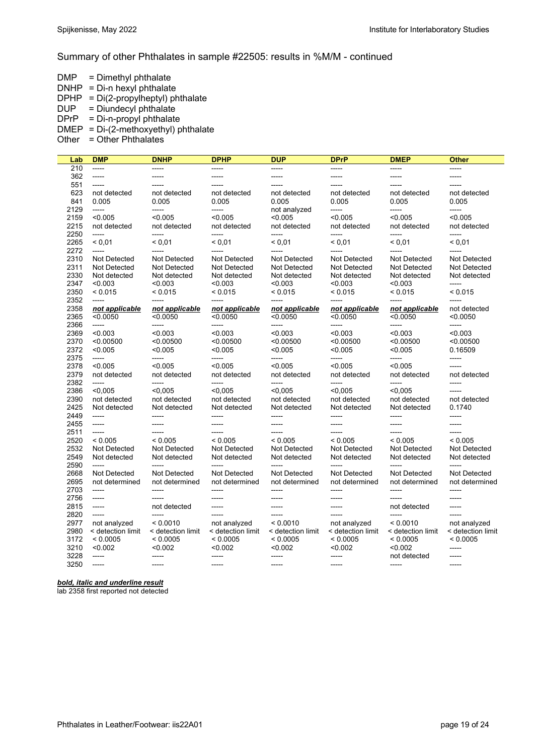#### Summary of other Phthalates in sample #22505: results in %M/M - continued

DMP = Dimethyl phthalate

- $DNHP = Di-n$  hexyl phthalate
- $DPHP = Di(2$ -propylheptyl) phthalate  $DUP = Di$ undecyl phthalate
- $DPrP = Di-n-propyl$  phthalate
- DMEP = Di-(2-methoxyethyl) phthalate
- Other  $=$  Other Phthalates

| Lab          | <b>DMP</b>               | <b>DNHP</b>              | <b>DPHP</b>          | <b>DUP</b>           | <b>DPrP</b>              | <b>DMEP</b>         | <b>Other</b>        |
|--------------|--------------------------|--------------------------|----------------------|----------------------|--------------------------|---------------------|---------------------|
| 210          | -----                    | -----                    | -----                | -----                | -----                    | -----               | -----               |
| 362          | -----                    | -----                    | -----                | -----                | -----                    | -----               | -----               |
| 551          | $-----$                  |                          |                      | -----                | -----                    | -----               |                     |
| 623          | not detected             | not detected             | not detected         | not detected         | not detected             | not detected        | not detected        |
| 841          | 0.005                    | 0.005                    | 0.005                | 0.005                | 0.005                    | 0.005               | 0.005               |
| 2129         | $100 - 100 - 100$        | $--- -$                  | -----                | not analyzed         | -----                    | -----               | -----               |
| 2159         | < 0.005                  | < 0.005                  | < 0.005              | < 0.005              | < 0.005                  | < 0.005             | < 0.005             |
| 2215         | not detected             | not detected             | not detected         | not detected         | not detected             | not detected        | not detected        |
| 2250         | -----                    | -----                    | -----                | -----                | -----                    | -----               | -----               |
| 2265         | < 0.01                   | < 0.01                   | < 0.01               | < 0.01               | < 0.01                   | ${}_{0.01}$         | ${}_{0,01}$         |
| 2272         | -----                    | -----                    | -----                | -----                | -----                    | -----               | -----               |
| 2310         | Not Detected             | Not Detected             | <b>Not Detected</b>  | <b>Not Detected</b>  | Not Detected             | Not Detected        | <b>Not Detected</b> |
| 2311         | Not Detected             | Not Detected             | Not Detected         | <b>Not Detected</b>  | Not Detected             | <b>Not Detected</b> | <b>Not Detected</b> |
| 2330         | Not detected             | Not detected             | Not detected         | Not detected         | Not detected             | Not detected        | Not detected        |
| 2347         | < 0.003                  | < 0.003                  | < 0.003              | < 0.003              | < 0.003                  | < 0.003             | -----               |
| 2350         | < 0.015                  | < 0.015                  | < 0.015              | < 0.015              | < 0.015                  | < 0.015             | < 0.015             |
| 2352         | $100 - 100$              | -----                    | -----                | -----                | -----                    | -----               | -----               |
| 2358         | not applicable           | not applicable           | not applicable       | not applicable       | not applicable           | not applicable      | not detected        |
| 2365         | < 0.0050                 | < 0.0050                 | < 0.0050             | < 0.0050             | < 0.0050                 | < 0.0050            | < 0.0050            |
| 2366         | -----                    | -----                    | -----                | -----                | -----                    | -----               | -----               |
| 2369         | < 0.003                  | < 0.003                  | < 0.003              | < 0.003              | < 0.003                  | < 0.003             | < 0.003             |
| 2370<br>2372 | < 0.00500<br>< 0.005     | < 0.00500                | < 0.00500<br>< 0.005 | < 0.00500<br>< 0.005 | < 0.00500<br>< 0.005     | < 0.00500           | < 0.00500           |
| 2375         | $-----$                  | < 0.005<br>-----         | -----                | -----                | -----                    | <0.005<br>-----     | 0.16509<br>-----    |
| 2378         | < 0.005                  | < 0.005                  | < 0.005              | < 0.005              | < 0.005                  | < 0.005             | -----               |
| 2379         | not detected             | not detected             | not detected         | not detected         | not detected             | not detected        | not detected        |
| 2382         | -----                    | -----                    | -----                | -----                | -----                    | -----               | -----               |
| 2386         | < 0.005                  | < 0.005                  | < 0.005              | < 0.005              | < 0.005                  | < 0.005             | $--- -$             |
| 2390         | not detected             | not detected             | not detected         | not detected         | not detected             | not detected        | not detected        |
| 2425         | Not detected             | Not detected             | Not detected         | Not detected         | Not detected             | Not detected        | 0.1740              |
| 2449         | -----                    | -----                    | -----                | -----                | -----                    | -----               | -----               |
| 2455         | -----                    | -----                    | -----                | -----                | -----                    | -----               | -----               |
| 2511         | $--- -$                  |                          | -----                | -----                | -----                    | -----               |                     |
| 2520         | ${}_{0.005}$             | < 0.005                  | < 0.005              | ${}_{0.005}$         | ${}_{0.005}$             | ${}_{0.005}$        | ${}_{0.005}$        |
| 2532         | Not Detected             | Not Detected             | Not Detected         | Not Detected         | Not Detected             | <b>Not Detected</b> | <b>Not Detected</b> |
| 2549         | Not detected             | Not detected             | Not detected         | Not detected         | Not detected             | Not detected        | Not detected        |
| 2590         | $\overline{\phantom{a}}$ | $\overline{\phantom{a}}$ | -----                | $- - - -$            | $\overline{\phantom{a}}$ | $- - - -$           | -----               |
| 2668         | Not Detected             | Not Detected             | Not Detected         | Not Detected         | Not Detected             | Not Detected        | Not Detected        |
| 2695         | not determined           | not determined           | not determined       | not determined       | not determined           | not determined      | not determined      |
| 2703         | -----                    | $--- -$                  | -----                | -----                | -----                    | -----               | -----               |
| 2756         | -----                    |                          | -----                | $--- -$              | -----                    | -----               |                     |
| 2815         | -----                    | not detected             | -----                | -----                | -----                    | not detected        | -----               |
| 2820         | -----                    | -----                    | $-----$              | -----                | -----                    | -----               | -----               |
| 2977         | not analyzed             | < 0.0010                 | not analyzed         | < 0.0010             | not analyzed             | < 0.0010            | not analyzed        |
| 2980         | < detection limit        | < detection limit        | < detection limit    | < detection limit    | < detection limit        | < detection limit   | < detection limit   |
| 3172         | < 0.0005                 | < 0.0005                 | < 0.0005             | < 0.0005             | < 0.0005                 | < 0.0005            | < 0.0005            |
| 3210         | < 0.002                  | < 0.002                  | < 0.002              | < 0.002              | < 0.002                  | < 0.002             | -----               |
| 3228         | $-----$                  | $--- -$                  | -----                | -----                | -----                    | not detected        | -----               |
| 3250         | $-----$                  | -----                    | -----                | -----                | -----                    | -----               | -----               |

*bold, italic and underline result* 

lab 2358 first reported not detected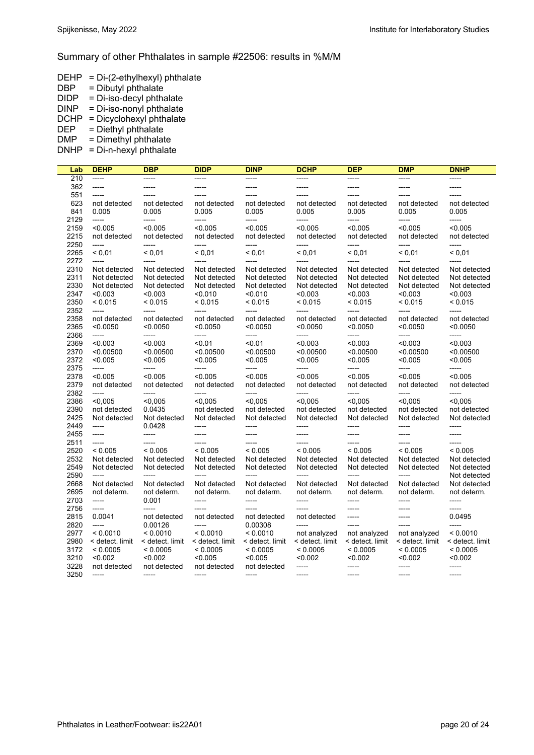#### Summary of other Phthalates in sample #22506: results in %M/M

- DEHP = Di-(2-ethylhexyl) phthalate
- DBP = Dibutyl phthalate
- DIDP = Di-iso-decyl phthalate
- DINP = Di-iso-nonyl phthalate
- DCHP = Dicyclohexyl phthalate<br>DEP = Diethyl phthalate
- $=$  Diethyl phthalate
- $DMP = Dimethyl phthalate$

DNHP = Di-n-hexyl phthalate

| Lab          | <b>DEHP</b>      | DBP              | <b>DIDP</b>       | <b>DINP</b>      | <b>DCHP</b>      | DEP                | <b>DMP</b>       | <b>DNHP</b>      |
|--------------|------------------|------------------|-------------------|------------------|------------------|--------------------|------------------|------------------|
| 210          | -----            | -----            | -----             | -----            | -----            | -----              | -----            | -----            |
| 362          | -----            | -----            | -----             | -----            | -----            | -----              | -----            | -----            |
| 551          | -----            | -----            | $-----$           | -----            | -----            | -----              | -----            | $- - - -$        |
| 623          | not detected     | not detected     | not detected      | not detected     | not detected     | not detected       | not detected     | not detected     |
| 841          | 0.005            | 0.005            | 0.005             | 0.005            | 0.005            | 0.005              | 0.005            | 0.005            |
| 2129         | -----            | -----            | -----             | -----            | -----            | -----              | $--- -$          | $--- -$          |
| 2159         | < 0.005          | < 0.005          | < 0.005           | < 0.005          | < 0.005          | < 0.005            | < 0.005          | < 0.005          |
| 2215         | not detected     | not detected     | not detected      | not detected     | not detected     | not detected       | not detected     | not detected     |
| 2250         | -----            | -----            | -----             | -----            | -----            | -----              | -----            | -----            |
| 2265         | < 0.01           | < 0.01           | < 0.01            | < 0.01           | < 0.01           | < 0.01             | < 0.01           | < 0.01           |
| 2272         | $---$            | -----            | -----             | -----            | -----            | $-----$            | $---$            | $--- -$          |
| 2310         | Not detected     | Not detected     | Not detected      | Not detected     | Not detected     | Not detected       | Not detected     | Not detected     |
| 2311         | Not detected     | Not detected     | Not detected      | Not detected     | Not detected     | Not detected       | Not detected     | Not detected     |
| 2330         | Not detected     | Not detected     | Not detected      | Not detected     | Not detected     | Not detected       | Not detected     | Not detected     |
| 2347         | < 0.003          | < 0.003          | < 0.010           | < 0.010          | < 0.003          | < 0.003            | < 0.003          | < 0.003          |
| 2350         | < 0.015          | < 0.015          | < 0.015           | < 0.015          | < 0.015          | < 0.015            | < 0.015          | < 0.015          |
| 2352         | -----            | -----            | -----             | -----            | -----            | -----              | $--- -$          | $-----$          |
| 2358         | not detected     | not detected     | not detected      | not detected     | not detected     | not detected       | not detected     | not detected     |
|              | < 0.0050         | < 0.0050         |                   | < 0.0050         | < 0.0050         |                    | < 0.0050         | < 0.0050         |
| 2365<br>2366 | -----            | -----            | < 0.0050<br>----- | -----            | -----            | < 0.0050<br>-----  | -----            | -----            |
|              | < 0.003          | < 0.003          | < 0.01            | < 0.01           | < 0.003          | < 0.003            | < 0.003          | < 0.003          |
| 2369<br>2370 | < 0.00500        | < 0.00500        | < 0.00500         | < 0.00500        | < 0.00500        | < 0.00500          | < 0.00500        | < 0.00500        |
|              |                  |                  |                   |                  |                  |                    |                  |                  |
| 2372         | < 0.005<br>----- | < 0.005<br>----- | < 0.005<br>-----  | < 0.005<br>----- | < 0.005<br>----- | < 0.005<br>-----   | < 0.005<br>----- | < 0.005<br>----- |
| 2375         | < 0.005          |                  |                   | < 0.005          |                  | < 0.005            | < 0.005          | < 0.005          |
| 2378         |                  | < 0.005          | < 0.005           |                  | < 0.005          |                    |                  |                  |
| 2379         | not detected     | not detected     | not detected      | not detected     | not detected     | not detected       | not detected     | not detected     |
| 2382         | -----<br>< 0.005 | -----<br>< 0.005 | -----<br>< 0.005  | -----<br>< 0.005 | -----<br>< 0.005 | $-----$<br>< 0.005 | -----<br>< 0.005 | -----<br>< 0.005 |
| 2386         |                  |                  |                   |                  |                  |                    |                  |                  |
| 2390         | not detected     | 0.0435           | not detected      | not detected     | not detected     | not detected       | not detected     | not detected     |
| 2425         | Not detected     | Not detected     | Not detected      | Not detected     | Not detected     | Not detected       | Not detected     | Not detected     |
| 2449         | -----            | 0.0428           | -----             | -----            | -----            | -----              | $-----$          | -----            |
| 2455         | -----            | -----            | $-----$           | -----            | -----            | $- - - -$          | -----            | $- - - -$        |
| 2511         | -----            | -----            | -----             | -----            | -----            | $--- -$            | -----            | $-----$          |
| 2520         | < 0.005          | < 0.005          | < 0.005           | < 0.005          | < 0.005          | ${}_{0.005}$       | < 0.005          | < 0.005          |
| 2532         | Not detected     | Not detected     | Not detected      | Not detected     | Not detected     | Not detected       | Not detected     | Not detected     |
| 2549         | Not detected     | Not detected     | Not detected      | Not detected     | Not detected     | Not detected       | Not detected     | Not detected     |
| 2590         | $---$            | -----            | $--- -$           | -----            | -----            | $- - - - -$        | $---$            | Not detected     |
| 2668         | Not detected     | Not detected     | Not detected      | Not detected     | Not detected     | Not detected       | Not detected     | Not detected     |
| 2695         | not determ.      | not determ.      | not determ.       | not determ.      | not determ.      | not determ.        | not determ.      | not determ.      |
| 2703         | -----            | 0.001            | -----             | -----            | -----            | -----              | -----            | -----            |
| 2756         | -----            | -----            | $- - - -$         | -----            | -----            | -----              | -----            | -----            |
| 2815         | 0.0041           | not detected     | not detected      | not detected     | not detected     | $-----1$           | -----            | 0.0495           |
| 2820         | -----            | 0.00126          | -----             | 0.00308          | -----            | $-----$            | -----            | -----            |
| 2977         | < 0.0010         | < 0.0010         | < 0.0010          | < 0.0010         | not analyzed     | not analyzed       | not analyzed     | < 0.0010         |
| 2980         | < detect. limit  | < detect. limit  | < detect. limit   | < detect. limit  | < detect. limit  | < detect. limit    | < detect. limit  | < detect. limit  |
| 3172         | < 0.0005         | < 0.0005         | < 0.0005          | < 0.0005         | < 0.0005         | < 0.0005           | < 0.0005         | < 0.0005         |
| 3210         | < 0.002          | < 0.002          | < 0.005           | < 0.005          | < 0.002          | < 0.002            | < 0.002          | < 0.002          |
| 3228         | not detected     | not detected     | not detected      | not detected     | -----            | -----              | -----            | -----            |
| 3250         | -----            | $-----1$         | $- - - - -$       | -----            | -----            | $- - - - -$        | $-----1$         | $-----1$         |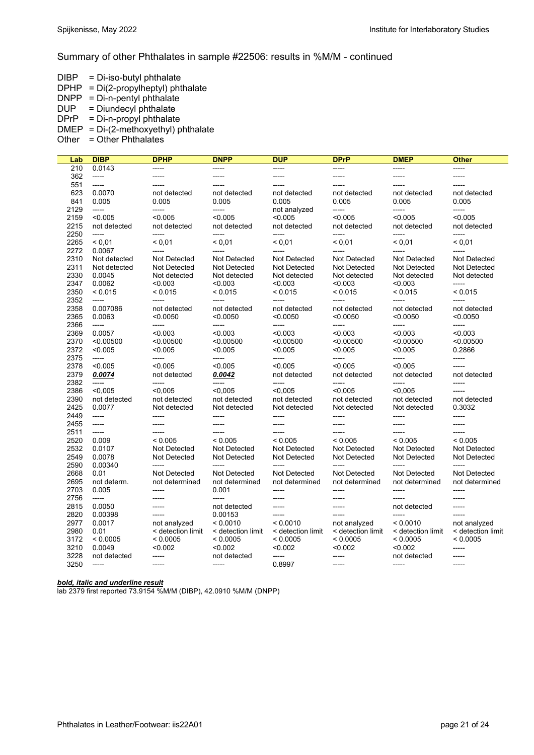#### Summary of other Phthalates in sample #22506: results in %M/M - continued

- $DIBP = Di-iso-butyl$  phthalate
- $DPHP = Di(2$ -propylheptyl) phthalate
- DNPP = Di-n-pentyl phthalate
- DUP = Diundecyl phthalate
- $DPrP = Di-n-propyl$  phthalate
- DMEP = Di-(2-methoxyethyl) phthalate
- Other  $=$  Other Phthalates

| Lab          | <b>DIBP</b>                 | <b>DPHP</b>         | <b>DNPP</b>         | <b>DUP</b>        | <b>DPrP</b>         | <b>DMEP</b>              | <b>Other</b>       |
|--------------|-----------------------------|---------------------|---------------------|-------------------|---------------------|--------------------------|--------------------|
| 210          | 0.0143                      | -----               | -----               | -----             | -----               | -----                    | -----              |
| 362          | -----                       | -----               | -----               | -----             | -----               | -----                    | -----              |
| 551          | -----                       | -----               | -----               | -----             | $--- -$             | -----                    | -----              |
| 623          | 0.0070                      | not detected        | not detected        | not detected      | not detected        | not detected             | not detected       |
| 841          | 0.005                       | 0.005               | 0.005               | 0.005             | 0.005               | 0.005                    | 0.005              |
| 2129         | -----                       | -----               | -----               | not analyzed      | -----               | -----                    | -----              |
| 2159         | < 0.005                     | < 0.005             | < 0.005             | < 0.005           | < 0.005             | < 0.005                  | < 0.005            |
| 2215         | not detected                | not detected        | not detected        | not detected      | not detected        | not detected             | not detected       |
| 2250         | -----                       | -----               | -----               | -----             | -----               | -----                    | -----              |
| 2265         | < 0.01                      | < 0.01              | ${}_{0.01}$         | ${}_{0.01}$       | < 0.01              | < 0.01                   | < 0.01             |
| 2272         | 0.0067                      | -----               | -----               | -----             | -----               | -----                    | $---$              |
| 2310         | Not detected                | Not Detected        | Not Detected        | Not Detected      | Not Detected        | Not Detected             | Not Detected       |
| 2311         | Not detected                | <b>Not Detected</b> | Not Detected        | Not Detected      | <b>Not Detected</b> | <b>Not Detected</b>      | Not Detected       |
| 2330         | 0.0045                      | Not detected        | Not detected        | Not detected      | Not detected        | Not detected             | Not detected       |
| 2347         | 0.0062                      | < 0.003             | < 0.003             | < 0.003           | < 0.003             | < 0.003                  | -----              |
| 2350         | < 0.015                     | < 0.015             | < 0.015             | < 0.015           | < 0.015             | < 0.015                  | < 0.015            |
| 2352         | -----                       | $--- -$             | -----               | -----             | $--- -$             | -----                    | $---$              |
| 2358         | 0.007086                    | not detected        | not detected        | not detected      | not detected        | not detected             | not detected       |
| 2365         | 0.0063                      | < 0.0050            | < 0.0050            | < 0.0050          | < 0.0050            | < 0.0050                 | < 0.0050           |
| 2366         |                             | -----               | -----               | -----             | -----               | -----                    | -----              |
| 2369         | 0.0057                      | < 0.003             | < 0.003             | < 0.003           | < 0.003             | < 0.003                  | < 0.003            |
| 2370         | < 0.00500                   | < 0.00500           | < 0.00500           | < 0.00500         | < 0.00500           | < 0.00500                | < 0.00500          |
| 2372         | < 0.005                     | < 0.005             | < 0.005             | < 0.005           | < 0.005             | < 0.005                  | 0.2866             |
| 2375         | -----                       | -----               | -----               | -----             | -----               | -----                    | -----              |
| 2378         | < 0.005                     | < 0.005             | < 0.005             | < 0.005           | < 0.005             | < 0.005                  | -----              |
| 2379         | 0.0074                      | not detected        | 0.0042              | not detected      | not detected        | not detected             | not detected       |
| 2382         | -----                       | -----               | -----               | -----             | $-----$             | -----                    | -----              |
| 2386         | < 0.005                     | < 0.005             | < 0.005             | < 0.005           | < 0.005             | < 0.005                  | -----              |
| 2390         | not detected                | not detected        | not detected        | not detected      | not detected        | not detected             | not detected       |
| 2425         | 0.0077                      | Not detected        | Not detected        | Not detected      | Not detected        | Not detected             | 0.3032             |
| 2449         | -----                       | -----               | -----               | -----             | -----               |                          | -----              |
| 2455         | $-----$                     | $-----1$            | -----               | -----             | -----               | -----                    | -----              |
| 2511         | -----                       | $--- -$             | -----               | -----             | $--- -$             | -----                    | -----              |
| 2520         | 0.009                       | < 0.005             | < 0.005             | < 0.005           | < 0.005             | < 0.005                  | < 0.005            |
| 2532         | 0.0107                      | Not Detected        | Not Detected        | Not Detected      | <b>Not Detected</b> | Not Detected             | Not Detected       |
| 2549         | 0.0078                      | Not Detected        | <b>Not Detected</b> | Not Detected      | Not Detected        | Not Detected             | Not Detected       |
| 2590         | 0.00340                     | -----               | -----               | -----             | -----               | -----                    | -----              |
| 2668         | 0.01                        | Not Detected        | Not Detected        | Not Detected      | Not Detected        | Not Detected             | Not Detected       |
| 2695         | not determ.                 | not determined      | not determined      | not determined    | not determined      | not determined           | not determined     |
| 2703         | 0.005                       | -----               | 0.001               | -----             | -----               | -----                    | -----              |
| 2756         | -----                       | -----               | -----               | -----             | -----               | -----                    | -----              |
| 2815         | 0.0050                      | -----               | not detected        | -----             | ------              | not detected<br>$-$ ---- | -----              |
| 2820         | 0.00398                     | $-----1$            | 0.00153             | -----             | $-----1$            |                          | $--- -$            |
| 2977         | 0.0017                      | not analyzed        | < 0.0010            | < 0.0010          | not analyzed        | < 0.0010                 | not analyzed       |
| 2980<br>3172 | 0.01                        | < detection limit   | < detection limit   | < detection limit | < detection limit   | < detection limit        | < detection limit  |
|              | < 0.0005<br>0.0049          | < 0.0005<br>< 0.002 | < 0.0005            | < 0.0005          | < 0.0005            | < 0.0005<br>< 0.002      | < 0.0005<br>-----  |
| 3210         |                             |                     | < 0.002             | < 0.002           | < 0.002             |                          |                    |
| 3228<br>3250 | not detected<br>$- - - - -$ | -----<br>$-----1$   | not detected        | -----<br>0.8997   | -----<br>$--- -$    | not detected<br>------   | $--- -$<br>$-----$ |
|              |                             |                     | ------              |                   |                     |                          |                    |

#### *bold, italic and underline result*

lab 2379 first reported 73.9154 %M/M (DIBP), 42.0910 %M/M (DNPP)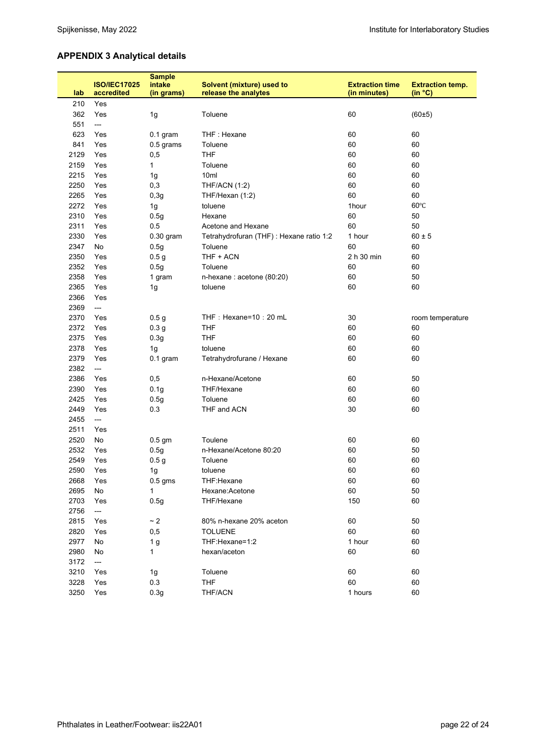# **APPENDIX 3 Analytical details**

|      | <b>ISO/IEC17025</b> | <b>Sample</b><br>intake | <b>Solvent (mixture) used to</b>         | <b>Extraction time</b> | <b>Extraction temp.</b> |
|------|---------------------|-------------------------|------------------------------------------|------------------------|-------------------------|
| lab  | accredited          | (in grams)              | release the analytes                     | (in minutes)           | (in °C)                 |
| 210  | Yes                 |                         |                                          |                        |                         |
| 362  | Yes                 | 1g                      | Toluene                                  | 60                     | (60±5)                  |
| 551  | ---                 |                         |                                          |                        |                         |
| 623  | Yes                 | $0.1$ gram              | THF: Hexane                              | 60                     | 60                      |
| 841  | Yes                 | 0.5 grams               | Toluene                                  | 60                     | 60                      |
| 2129 | Yes                 | 0,5                     | <b>THF</b>                               | 60                     | 60                      |
| 2159 | Yes                 | 1                       | Toluene                                  | 60                     | 60                      |
| 2215 | Yes                 | 1g                      | 10 <sub>ml</sub>                         | 60                     | 60                      |
| 2250 | Yes                 | 0,3                     | <b>THF/ACN (1:2)</b>                     | 60                     | 60                      |
| 2265 | Yes                 | 0,3g                    | THF/Hexan (1:2)                          | 60                     | 60                      |
| 2272 | Yes                 | 1g                      | toluene                                  | 1hour                  | $60^{\circ}$ C          |
| 2310 | Yes                 | 0.5g                    | Hexane                                   | 60                     | 50                      |
| 2311 | Yes                 | 0.5                     | Acetone and Hexane                       | 60                     | 50                      |
| 2330 | Yes                 | $0.30$ gram             | Tetrahydrofuran (THF) : Hexane ratio 1:2 | 1 hour                 | $60 \pm 5$              |
| 2347 | No                  | 0.5g                    | Toluene                                  | 60                     | 60                      |
| 2350 | Yes                 | 0.5 <sub>g</sub>        | THF + ACN                                | 2 h 30 min             | 60                      |
| 2352 | Yes                 | 0.5g                    | Toluene                                  | 60                     | 60                      |
| 2358 | Yes                 | 1 gram                  | n-hexane : acetone (80:20)               | 60                     | 50                      |
| 2365 | Yes                 | 1g                      | toluene                                  | 60                     | 60                      |
| 2366 | Yes                 |                         |                                          |                        |                         |
| 2369 | $---$               |                         |                                          |                        |                         |
| 2370 | Yes                 | 0.5 <sub>g</sub>        | THF: Hexane=10: 20 mL                    | 30                     | room temperature        |
| 2372 | Yes                 | 0.3 <sub>g</sub>        | <b>THF</b>                               | 60                     | 60                      |
| 2375 | Yes                 | 0.3 <sub>g</sub>        | <b>THF</b>                               | 60                     | 60                      |
| 2378 | Yes                 | 1g                      | toluene                                  | 60                     | 60                      |
| 2379 | Yes                 | $0.1$ gram              | Tetrahydrofurane / Hexane                | 60                     | 60                      |
| 2382 | ---                 |                         |                                          |                        |                         |
| 2386 | Yes                 | 0,5                     | n-Hexane/Acetone                         | 60                     | 50                      |
| 2390 | Yes                 | 0.1 <sub>g</sub>        | THF/Hexane                               | 60                     | 60                      |
| 2425 | Yes                 | 0.5g                    | Toluene                                  | 60                     | 60                      |
| 2449 | Yes                 | 0.3                     | THF and ACN                              | 30                     | 60                      |
| 2455 | $---$               |                         |                                          |                        |                         |
| 2511 | Yes                 |                         |                                          |                        |                         |
| 2520 | No                  | $0.5$ gm                | Toulene                                  | 60                     | 60                      |
| 2532 | Yes                 | 0.5g                    | n-Hexane/Acetone 80:20                   | 60                     | 50                      |
| 2549 | Yes                 | 0.5 <sub>g</sub>        | Toluene                                  | 60                     | 60                      |
| 2590 | Yes                 | 1g                      | toluene                                  | 60                     | 60                      |
| 2668 | Yes                 | $0.5$ gms               | THF:Hexane                               | 60                     | 60                      |
| 2695 | No                  | $\mathbf{1}$            | Hexane:Acetone                           | 60                     | 50                      |
| 2703 | Yes                 | 0.5g                    | THF/Hexane                               | 150                    | 60                      |
| 2756 | ---                 |                         |                                          |                        |                         |
| 2815 | Yes                 | $\sim 2$                | 80% n-hexane 20% aceton                  | 60                     | 50                      |
| 2820 | Yes                 | 0,5                     | <b>TOLUENE</b>                           | 60                     | 60                      |
| 2977 | No                  | 1 <sub>g</sub>          | THF:Hexane=1:2                           | 1 hour                 | 60                      |
| 2980 | No                  | 1                       | hexan/aceton                             | 60                     | 60                      |
| 3172 | $\overline{a}$      |                         |                                          |                        |                         |
| 3210 | Yes                 | 1g                      | Toluene                                  | 60                     | 60                      |
| 3228 | Yes                 | 0.3                     | <b>THF</b>                               | 60                     | 60                      |
| 3250 | Yes                 | 0.3 <sub>g</sub>        | THF/ACN                                  | 1 hours                | 60                      |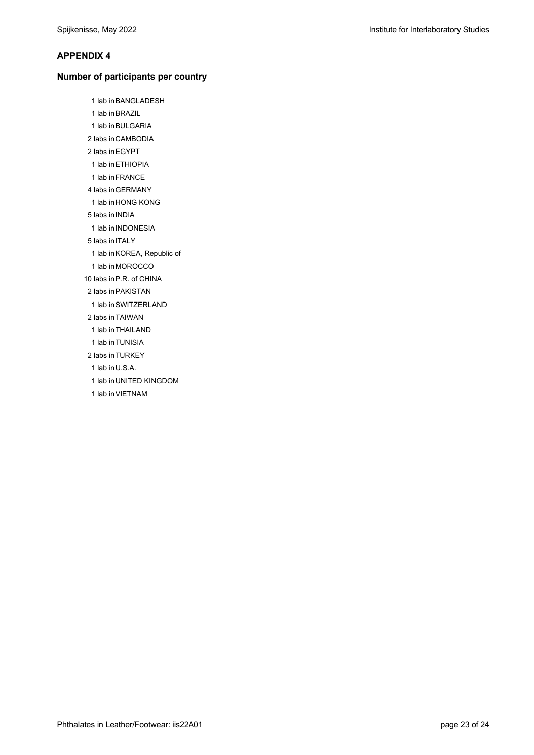#### **APPENDIX 4**

#### **Number of participants per country**

1 lab in BANGLADESH 1 lab in BRAZIL 1 lab in BULGARIA 2 labs in CAMBODIA 2 labs in EGYPT 1 lab in ETHIOPIA 1 lab in FRANCE 4 labs in GERMANY 1 lab in HONG KONG 5 labs in INDIA 1 lab in INDONESIA 5 labs in ITALY 1 lab in KOREA, Republic of 1 lab in MOROCCO 10 labs in P.R. of CHINA 2 labs in PAKISTAN 1 lab in SWITZERLAND 2 labs in TAIWAN 1 lab in THAILAND 1 lab in TUNISIA 2 labs in TURKEY 1 lab in U.S.A. 1 lab in UNITED KINGDOM 1 lab in VIETNAM